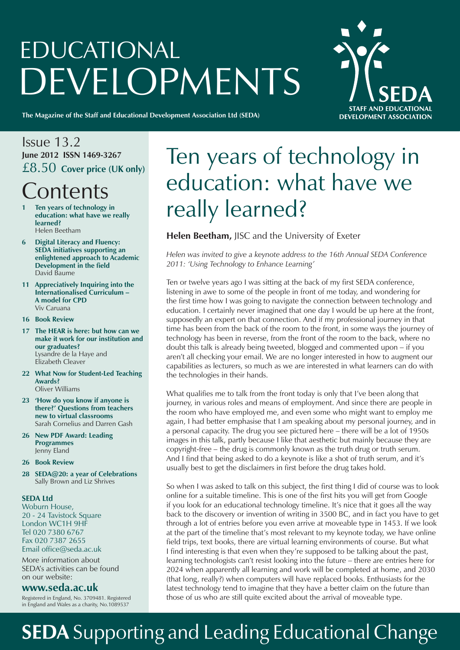# EDUCATIONAL DEVELOPMENTS



**The Magazine of the Staff and Educational Development Association Ltd (SEDA)**

## Issue 13.2 **June 2012 ISSN 1469-3267** £8.50 **Cover price (UK only) Contents**

- **1 Ten years of technology in education: what have we really learned?** Helen Beetham
- **6 Digital Literacy and Fluency: SEDA initiatives supporting an enlightened approach to Academic Development in the field** David Baume
- **11 Appreciatively Inquiring into the Internationalised Curriculum – A model for CPD** Viv Caruana
- **16 Book Review**
- **17 The HEAR is here: but how can we make it work for our institution and our graduates?** Lysandre de la Haye and Elizabeth Cleaver
- **22 What Now for Student-Led Teaching Awards?** Oliver Williams
- **23 'How do you know if anyone is there?' Questions from teachers new to virtual classrooms** Sarah Cornelius and Darren Gash
- **26 New PDF Award: Leading Programmes** Jenny Eland
- **26 Book Review**
- **28 SEDA@20: a year of Celebrations** Sally Brown and Liz Shrives

### **SEDA Ltd**

Woburn House, 20 - 24 Tavistock Square London WC1H 9HF Tel 020 7380 6767 Fax 020 7387 2655 Email office@seda.ac.uk

More information about SEDA's activities can be found on our website:

## **www.seda.ac.uk**

Registered in England, No. 3709481. Registered in England and Wales as a charity, No.1089537

## Ten years of technology in education: what have we really learned?

## **Helen Beetham,** JISC and the University of Exeter

*Helen was invited to give a keynote address to the 16th Annual SEDA Conference 2011: 'Using Technology to Enhance Learning'*

Ten or twelve years ago I was sitting at the back of my first SEDA conference, listening in awe to some of the people in front of me today, and wondering for the first time how I was going to navigate the connection between technology and education. I certainly never imagined that one day I would be up here at the front, supposedly an expert on that connection. And if my professional journey in that time has been from the back of the room to the front, in some ways the journey of technology has been in reverse, from the front of the room to the back, where no doubt this talk is already being tweeted, blogged and commented upon *–* if you aren't all checking your email. We are no longer interested in how to augment our capabilities as lecturers, so much as we are interested in what learners can do with the technologies in their hands.

What qualifies me to talk from the front today is only that I've been along that journey, in various roles and means of employment. And since there are people in the room who have employed me, and even some who might want to employ me again, I had better emphasise that I am speaking about my personal journey, and in a personal capacity. The drug you see pictured here – there will be a lot of 1950s images in this talk, partly because I like that aesthetic but mainly because they are copyright-free *–* the drug is commonly known as the truth drug or truth serum. And I find that being asked to do a keynote is like a shot of truth serum, and it's usually best to get the disclaimers in first before the drug takes hold.

So when I was asked to talk on this subject, the first thing I did of course was to look online for a suitable timeline. This is one of the first hits you will get from Google if you look for an educational technology timeline. It's nice that it goes all the way back to the discovery or invention of writing in 3500 BC, and in fact you have to get through a lot of entries before you even arrive at moveable type in 1453. If we look at the part of the timeline that's most relevant to my keynote today, we have online field trips, text books, there are virtual learning environments of course. But what I find interesting is that even when they're supposed to be talking about the past, learning technologists can't resist looking into the future – there are entries here for 2024 when apparently all learning and work will be completed at home, and 2030 (that long, really?) when computers will have replaced books. Enthusiasts for the latest technology tend to imagine that they have a better claim on the future than those of us who are still quite excited about the arrival of moveable type.

## **SEDA** Supporting and Leading Educational Change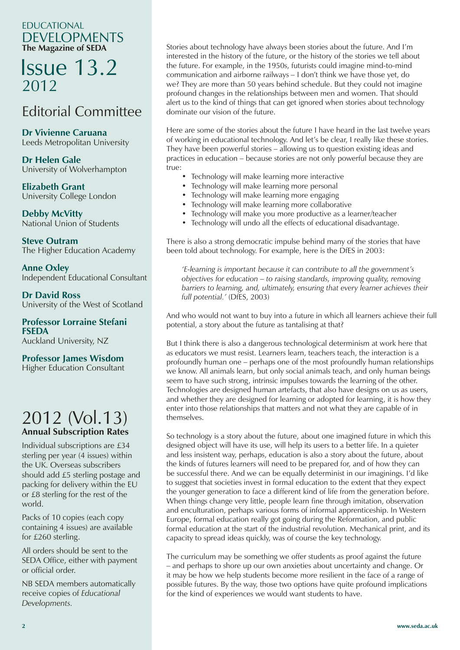## EDUCATIONAL DEVELOPMENTS **The Magazine of SEDA**

## Issue 13.2 2012

## Editorial Committee

**Dr Vivienne Caruana** Leeds Metropolitan University

**Dr Helen Gale** University of Wolverhampton

**Elizabeth Grant** University College London

**Debby McVitty** National Union of Students

**Steve Outram** The Higher Education Academy

**Anne Oxley** Independent Educational Consultant

**Dr David Ross** University of the West of Scotland

**Professor Lorraine Stefani FSEDA** Auckland University, NZ

**Professor James Wisdom** Higher Education Consultant

## 2012 (Vol.13) **Annual Subscription Rates**

Individual subscriptions are £34 sterling per year (4 issues) within the UK. Overseas subscribers should add £5 sterling postage and packing for delivery within the EU or £8 sterling for the rest of the world.

Packs of 10 copies (each copy containing 4 issues) are available for £260 sterling.

All orders should be sent to the SEDA Office, either with payment or official order.

NB SEDA members automatically receive copies of *Educational Developments.*

Stories about technology have always been stories about the future. And I'm interested in the history of the future, or the history of the stories we tell about the future. For example, in the 1950s, futurists could imagine mind-to-mind communication and airborne railways *–* I don't think we have those yet, do we? They are more than 50 years behind schedule. But they could not imagine profound changes in the relationships between men and women. That should alert us to the kind of things that can get ignored when stories about technology dominate our vision of the future.

Here are some of the stories about the future I have heard in the last twelve years of working in educational technology. And let's be clear, I really like these stories. They have been powerful stories – allowing us to question existing ideas and practices in education – because stories are not only powerful because they are true:

- Technology will make learning more interactive
- Technology will make learning more personal
- Technology will make learning more engaging
- Technology will make learning more collaborative
- Technology will make you more productive as a learner/teacher
- Technology will undo all the effects of educational disadvantage.

There is also a strong democratic impulse behind many of the stories that have been told about technology. For example, here is the DfES in 2003:

*'E-learning is important because it can contribute to all the government's objectives for education – to raising standards, improving quality, removing barriers to learning, and, ultimately, ensuring that every learner achieves their full potential.'* (DfES, 2003)

And who would not want to buy into a future in which all learners achieve their full potential, a story about the future as tantalising at that?

But I think there is also a dangerous technological determinism at work here that as educators we must resist. Learners learn, teachers teach, the interaction is a profoundly human one – perhaps one of the most profoundly human relationships we know. All animals learn, but only social animals teach, and only human beings seem to have such strong, intrinsic impulses towards the learning of the other. Technologies are designed human artefacts, that also have designs on us as users, and whether they are designed for learning or adopted for learning, it is how they enter into those relationships that matters and not what they are capable of in themselves.

So technology is a story about the future, about one imagined future in which this designed object will have its use, will help its users to a better life. In a quieter and less insistent way, perhaps, education is also a story about the future, about the kinds of futures learners will need to be prepared for, and of how they can be successful there. And we can be equally determinist in our imaginings. I'd like to suggest that societies invest in formal education to the extent that they expect the younger generation to face a different kind of life from the generation before. When things change very little, people learn fine through imitation, observation and enculturation, perhaps various forms of informal apprenticeship. In Western Europe, formal education really got going during the Reformation, and public formal education at the start of the industrial revolution. Mechanical print, and its capacity to spread ideas quickly, was of course the key technology.

The curriculum may be something we offer students as proof against the future – and perhaps to shore up our own anxieties about uncertainty and change. Or it may be how we help students become more resilient in the face of a range of possible futures. By the way, those two options have quite profound implications for the kind of experiences we would want students to have.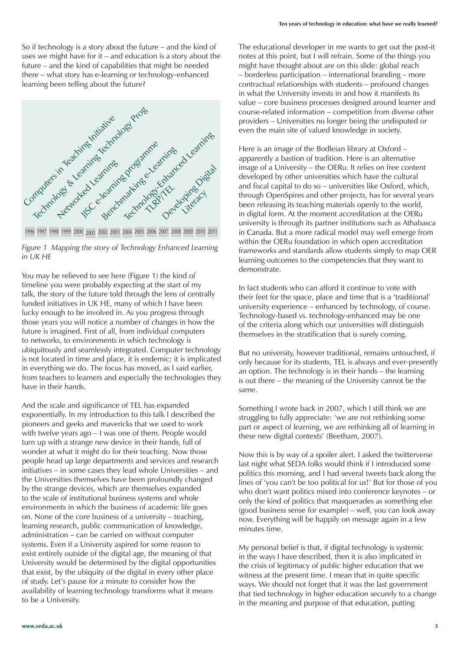So if technology is a story about the future – and the kind of uses we might have for it – and education is a story about the future – and the kind of capabilities that might be needed there – what story has e-learning or technology-enhanced learning been telling about the future?







 talk, the story of the future told through the lens of centrally You may be relieved to see here (Figure 1) the kind of timeline you were probably expecting at the start of my funded initiatives in UK HE, many of which I have been lucky enough to be involved in. As you progress through those years you will notice a number of changes in how the future is imagined. First of all, from individual computers to networks, to environments in which technology is ubiquitously and seamlessly integrated. Computer technology is not located in time and place, it is endemic; it is implicated in everything we do. The focus has moved, as I said earlier, from teachers to learners and especially the technologies they have in their hands.

And the scale and significance of TEL has expanded exponentially. In my introduction to this talk I described the pioneers and geeks and mavericks that we used to work with twelve years ago – I was one of them. People would turn up with a strange new device in their hands, full of wonder at what it might do for their teaching. Now those people head up large departments and services and research initiatives – in some cases they lead whole Universities – and the Universities themselves have been profoundly changed by the strange devices, which are themselves expanded to the scale of institutional business systems and whole environments in which the business of academic life goes on. None of the core business of a university – teaching, learning research, public communication of knowledge, administration – can be carried on without computer systems. Even if a University aspired for some reason to exist entirely outside of the digital age, the meaning of that University would be determined by the digital opportunities that exist, by the ubiquity of the digital in every other place of study. Let's pause for a minute to consider how the availability of learning technology transforms what it means to be a University.

The educational developer in me wants to get out the post-it notes at this point, but I will refrain. Some of the things you might have thought about are on this slide: global reach – borderless participation – international branding – more contractual relationships with students – profound changes in what the University invests in and how it manifests its value – core business processes designed around learner and course-related information – competition from diverse other providers – Universities no longer being the undisputed or even the main site of valued knowledge in society.

Here is an image of the Bodleian library at Oxford – apparently a bastion of tradition. Here is an alternative image of a University – the OERu. It relies on free content developed by other universities which have the cultural and fiscal capital to do so – universities like Oxford, which, through OpenSpires and other projects, has for several years been releasing its teaching materials openly to the world, in digital form. At the moment accreditation at the OERu university is through its partner institutions such as Athabasca in Canada. But a more radical model may well emerge from within the OERu foundation in which open accreditation frameworks and standards allow students simply to map OER learning outcomes to the competencies that they want to demonstrate.

In fact students who can afford it continue to vote with their feet for the space, place and time that is a 'traditional' university experience – enhanced by technology, of course. Technology-based vs. technology-enhanced may be one of the criteria along which our universities will distinguish themselves in the stratification that is surely coming.

But no university, however traditional, remains untouched, if only because for its students, TEL is always and ever-presently an option. The technology is in their hands – the learning is out there – the meaning of the University cannot be the same.

Something I wrote back in 2007, which I still think we are struggling to fully appreciate: 'we are not rethinking some part or aspect of learning, we are rethinking all of learning in these new digital contexts' (Beetham, 2007).

Now this is by way of a spoiler alert. I asked the twitterverse last night what SEDA folks would think if I introduced some politics this morning, and I had several tweets back along the lines of 'you can't be too political for us!' But for those of you who don't want politics mixed into conference keynotes – or only the kind of politics that masquerades as something else (good business sense for example) – well, you can look away now. Everything will be happily on message again in a few minutes time.

My personal belief is that, if digital technology is systemic in the ways I have described, then it is also implicated in the crisis of legitimacy of public higher education that we witness at the present time. I mean that in quite specific ways. We should not forget that it was the last government that tied technology in higher education securely to a change in the meaning and purpose of that education, putting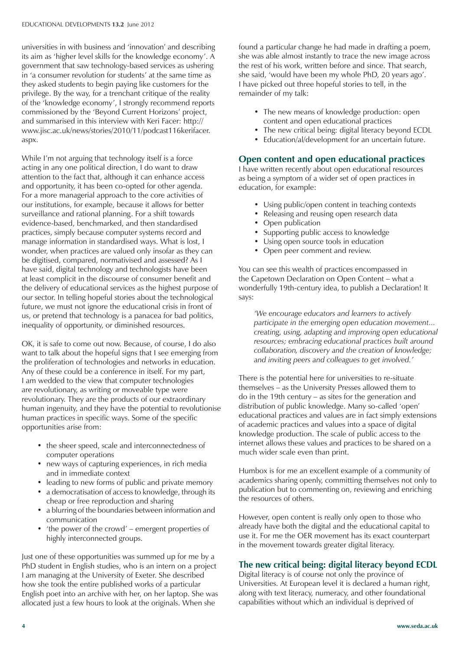universities in with business and 'innovation' and describing its aim as 'higher level skills for the knowledge economy'. A government that saw technology-based services as ushering in 'a consumer revolution for students' at the same time as they asked students to begin paying like customers for the privilege. By the way, for a trenchant critique of the reality of the 'knowledge economy', I strongly recommend reports commissioned by the 'Beyond Current Horizons' project, and summarised in this interview with Keri Facer: http:// www.jisc.ac.uk/news/stories/2010/11/podcast116kerifacer. aspx.

While I'm not arguing that technology itself is a force acting in any one political direction, I do want to draw attention to the fact that, although it can enhance access and opportunity, it has been co-opted for other agenda. For a more managerial approach to the core activities of our institutions, for example, because it allows for better surveillance and rational planning. For a shift towards evidence-based, benchmarked, and then standardised practices, simply because computer systems record and manage information in standardised ways. What is lost, I wonder, when practices are valued only insofar as they can be digitised, compared, normativised and assessed? As I have said, digital technology and technologists have been at least complicit in the discourse of consumer benefit and the delivery of educational services as the highest purpose of our sector. In telling hopeful stories about the technological future, we must not ignore the educational crisis in front of us, or pretend that technology is a panacea for bad politics, inequality of opportunity, or diminished resources.

OK, it is safe to come out now. Because, of course, I do also want to talk about the hopeful signs that I see emerging from the proliferation of technologies and networks in education. Any of these could be a conference in itself. For my part, I am wedded to the view that computer technologies are revolutionary, as writing or moveable type were revolutionary. They are the products of our extraordinary human ingenuity, and they have the potential to revolutionise human practices in specific ways. Some of the specific opportunities arise from:

- the sheer speed, scale and interconnectedness of computer operations
- new ways of capturing experiences, in rich media and in immediate context
- leading to new forms of public and private memory
- a democratisation of access to knowledge, through its cheap or free reproduction and sharing
- a blurring of the boundaries between information and communication
- 'the power of the crowd' emergent properties of highly interconnected groups.

Just one of these opportunities was summed up for me by a PhD student in English studies, who is an intern on a project I am managing at the University of Exeter. She described how she took the entire published works of a particular English poet into an archive with her, on her laptop. She was allocated just a few hours to look at the originals. When she

found a particular change he had made in drafting a poem, she was able almost instantly to trace the new image across the rest of his work, written before and since. That search, she said, 'would have been my whole PhD, 20 years ago'. I have picked out three hopeful stories to tell, in the remainder of my talk:

- The new means of knowledge production: open content and open educational practices
- The new critical being: digital literacy beyond ECDL
- Education/al/development for an uncertain future.

### **Open content and open educational practices**

I have written recently about open educational resources as being a symptom of a wider set of open practices in education, for example:

- Using public/open content in teaching contexts
- Releasing and reusing open research data
- Open publication
- Supporting public access to knowledge
- Using open source tools in education
- Open peer comment and review.

You can see this wealth of practices encompassed in the Capetown Declaration on Open Content – what a wonderfully 19th-century idea, to publish a Declaration! It says:

*'We encourage educators and learners to actively participate in the emerging open education movement... creating, using, adapting and improving open educational resources; embracing educational practices built around collaboration, discovery and the creation of knowledge; and inviting peers and colleagues to get involved.'*

There is the potential here for universities to re-situate themselves – as the University Presses allowed them to do in the 19th century – as sites for the generation and distribution of public knowledge. Many so-called 'open' educational practices and values are in fact simply extensions of academic practices and values into a space of digital knowledge production. The scale of public access to the internet allows these values and practices to be shared on a much wider scale even than print.

Humbox is for me an excellent example of a community of academics sharing openly, committing themselves not only to publication but to commenting on, reviewing and enriching the resources of others.

However, open content is really only open to those who already have both the digital and the educational capital to use it. For me the OER movement has its exact counterpart in the movement towards greater digital literacy.

### **The new critical being: digital literacy beyond ECDL**

Digital literacy is of course not only the province of Universities. At European level it is declared a human right, along with text literacy, numeracy, and other foundational capabilities without which an individual is deprived of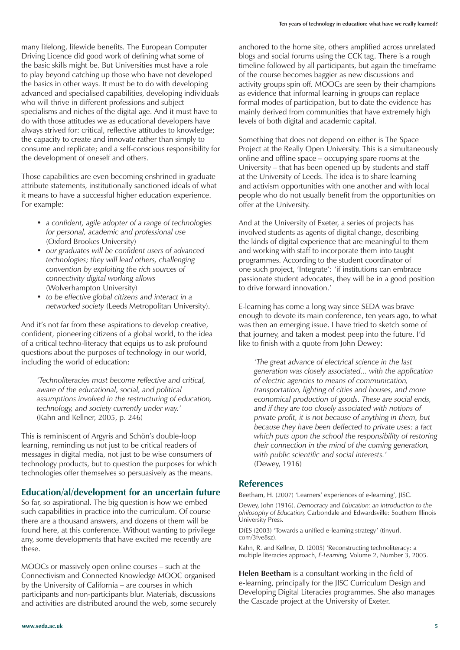many lifelong, lifewide benefits. The European Computer Driving Licence did good work of defining what some of the basic skills might be. But Universities must have a role to play beyond catching up those who have not developed the basics in other ways. It must be to do with developing advanced and specialised capabilities, developing individuals who will thrive in different professions and subject specialisms and niches of the digital age. And it must have to do with those attitudes we as educational developers have always strived for: critical, reflective attitudes to knowledge; the capacity to create and innovate rather than simply to consume and replicate; and a self-conscious responsibility for the development of oneself and others.

Those capabilities are even becoming enshrined in graduate attribute statements, institutionally sanctioned ideals of what it means to have a successful higher education experience. For example:

- *• a confident, agile adopter of a range of technologies for personal, academic and professional use*  (Oxford Brookes University)
- *• our graduates will be confident users of advanced technologies; they will lead others, challenging convention by exploiting the rich sources of connectivity digital working allows* (Wolverhampton University)
- *• to be effective global citizens and interact in a networked society* (Leeds Metropolitan University).

And it's not far from these aspirations to develop creative, confident, pioneering citizens of a global world, to the idea of a critical techno-literacy that equips us to ask profound questions about the purposes of technology in our world, including the world of education:

*'Technoliteracies must become reflective and critical, aware of the educational, social, and political assumptions involved in the restructuring of education, technology, and society currently under way.'* (Kahn and Kellner, 2005, p. 246)

This is reminiscent of Argyris and Schön's double-loop learning, reminding us not just to be critical readers of messages in digital media, not just to be wise consumers of technology products, but to question the purposes for which technologies offer themselves so persuasively as the means.

### **Education/al/development for an uncertain future**

So far, so aspirational. The big question is how we embed such capabilities in practice into the curriculum. Of course there are a thousand answers, and dozens of them will be found here, at this conference. Without wanting to privilege any, some developments that have excited me recently are these.

MOOCs or massively open online courses – such at the Connectivism and Connected Knowledge MOOC organised by the University of California – are courses in which participants and non-participants blur. Materials, discussions and activities are distributed around the web, some securely

anchored to the home site, others amplified across unrelated blogs and social forums using the CCK tag. There is a rough timeline followed by all participants, but again the timeframe of the course becomes baggier as new discussions and activity groups spin off. MOOCs are seen by their champions as evidence that informal learning in groups can replace formal modes of participation, but to date the evidence has mainly derived from communities that have extremely high levels of both digital and academic capital.

Something that does not depend on either is The Space Project at the Really Open University. This is a simultaneously online and offline space – occupying spare rooms at the University – that has been opened up by students and staff at the University of Leeds. The idea is to share learning and activism opportunities with one another and with local people who do not usually benefit from the opportunities on offer at the University.

And at the University of Exeter, a series of projects has involved students as agents of digital change, describing the kinds of digital experience that are meaningful to them and working with staff to incorporate them into taught programmes. According to the student coordinator of one such project, 'Integrate': 'if institutions can embrace passionate student advocates, they will be in a good position to drive forward innovation.'

E-learning has come a long way since SEDA was brave enough to devote its main conference, ten years ago, to what was then an emerging issue. I have tried to sketch some of that journey, and taken a modest peep into the future. I'd like to finish with a quote from John Dewey:

*'The great advance of electrical science in the last generation was closely associated... with the application of electric agencies to means of communication, transportation, lighting of cities and houses, and more economical production of goods. These are social ends, and if they are too closely associated with notions of private profit, it is not because of anything in them, but because they have been deflected to private uses: a fact which puts upon the school the responsibility of restoring their connection in the mind of the coming generation, with public scientific and social interests.'*  (Dewey, 1916)

#### **References**

Beetham, H. (2007) 'Learners' experiences of e-learning', JISC.

Dewey, John (1916). *Democracy and Education: an introduction to the philosophy of Education,* Carbondale and Edwardsville: Southern Illinois University Press.

DfES (2003) 'Towards a unified e-learning strategy' (tinyurl. com/3fve8sz).

Kahn, R. and Kellner, D. (2005) 'Reconstructing technoliteracy: a multiple literacies approach, *E-Learning,* Volume 2, Number 3, 2005.

**Helen Beetham** is a consultant working in the field of e-learning, principally for the JISC Curriculum Design and Developing Digital Literacies programmes. She also manages the Cascade project at the University of Exeter.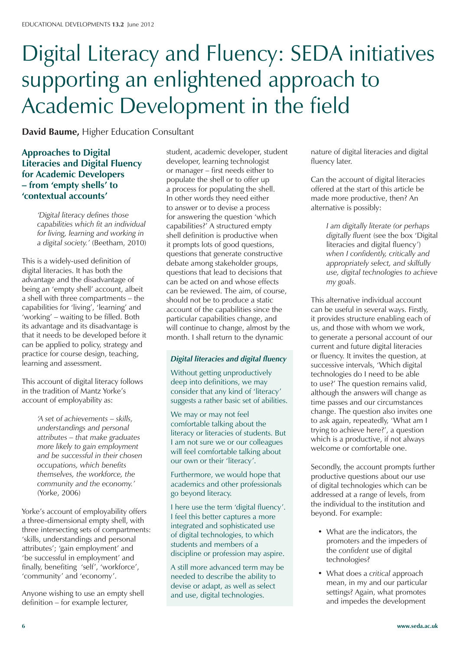## Digital Literacy and Fluency: SEDA initiatives supporting an enlightened approach to Academic Development in the field

**David Baume,** Higher Education Consultant

**Approaches to Digital Literacies and Digital Fluency for Academic Developers – from 'empty shells' to 'contextual accounts'**

> *'Digital literacy defines those capabilities which fit an individual for living, learning and working in a digital society.'* (Beetham, 2010)

This is a widely-used definition of digital literacies. It has both the advantage and the disadvantage of being an 'empty shell' account, albeit a shell with three compartments – the capabilities for 'living', 'learning' and 'working' – waiting to be filled. Both its advantage and its disadvantage is that it needs to be developed before it can be applied to policy, strategy and practice for course design, teaching, learning and assessment.

This account of digital literacy follows in the tradition of Mantz Yorke's account of employability as:

> *'A set of achievements – skills, understandings and personal attributes – that make graduates more likely to gain employment and be successful in their chosen occupations, which benefits themselves, the workforce, the community and the economy.'*  (Yorke, 2006)

Yorke's account of employability offers a three-dimensional empty shell, with three intersecting sets of compartments: 'skills, understandings and personal attributes'; 'gain employment' and 'be successful in employment' and finally, benefiting 'self', 'workforce', 'community' and 'economy'.

Anyone wishing to use an empty shell definition – for example lecturer,

student, academic developer, student developer, learning technologist or manager – first needs either to populate the shell or to offer up a process for populating the shell. In other words they need either to answer or to devise a process for answering the question 'which capabilities?' A structured empty shell definition is productive when it prompts lots of good questions, questions that generate constructive debate among stakeholder groups, questions that lead to decisions that can be acted on and whose effects can be reviewed. The aim, of course, should not be to produce a static account of the capabilities since the particular capabilities change, and will continue to change, almost by the month. I shall return to the dynamic

### *Digital literacies and digital fluency*

Without getting unproductively deep into definitions, we may consider that any kind of 'literacy' suggests a rather basic set of abilities.

We may or may not feel comfortable talking about the literacy or literacies of students. But I am not sure we or our colleagues will feel comfortable talking about our own or their 'literacy'.

Furthermore, we would hope that academics and other professionals go beyond literacy.

I here use the term 'digital fluency'. I feel this better captures a more integrated and sophisticated use of digital technologies, to which students and members of a discipline or profession may aspire.

A still more advanced term may be needed to describe the ability to devise or adapt, as well as select and use, digital technologies.

nature of digital literacies and digital fluency later.

Can the account of digital literacies offered at the start of this article be made more productive, then? An alternative is possibly:

> *I am digitally literate (or perhaps digitally fluent* (see the box 'Digital literacies and digital fluency') *when I confidently, critically and appropriately select, and skilfully use, digital technologies to achieve my goals.*

This alternative individual account can be useful in several ways. Firstly, it provides structure enabling each of us, and those with whom we work, to generate a personal account of our current and future digital literacies or fluency. It invites the question, at successive intervals, 'Which digital technologies do I need to be able to use?' The question remains valid, although the answers will change as time passes and our circumstances change. The question also invites one to ask again, repeatedly, 'What am I trying to achieve here?', a question which is a productive, if not always welcome or comfortable one.

Secondly, the account prompts further productive questions about our use of digital technologies which can be addressed at a range of levels, from the individual to the institution and beyond. For example:

- What are the indicators, the promoters and the impeders of the *confident* use of digital technologies?
- • What does a *critical* approach mean, in my and our particular settings? Again, what promotes and impedes the development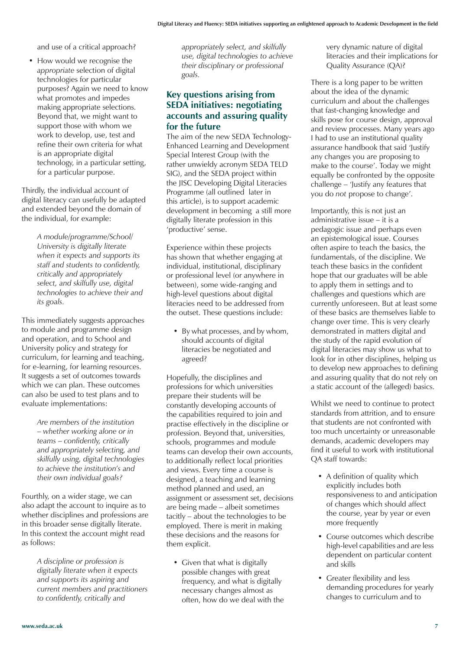and use of a critical approach?

• How would we recognise the *appropriate* selection of digital technologies for particular purposes? Again we need to know what promotes and impedes making appropriate selections. Beyond that, we might want to support those with whom we work to develop, use, test and refine their own criteria for what is an appropriate digital technology, in a particular setting, for a particular purpose.

Thirdly, the individual account of digital literacy can usefully be adapted and extended beyond the domain of the individual, for example:

> *A module/programme/School/ University is digitally literate when it expects and supports its staff and students to confidently, critically and appropriately select, and skilfully use, digital technologies to achieve their and its goals.*

This immediately suggests approaches to module and programme design and operation, and to School and University policy and strategy for curriculum, for learning and teaching, for e-learning, for learning resources. It suggests a set of outcomes towards which we can plan. These outcomes can also be used to test plans and to evaluate implementations:

> *Are members of the institution*  – *whether working alone or in teams* – *confidently, critically and appropriately selecting, and skilfully using, digital technologies to achieve the institution's and their own individual goals?*

Fourthly, on a wider stage, we can also adapt the account to inquire as to whether disciplines and professions are in this broader sense digitally literate. In this context the account might read as follows:

> *A discipline or profession is digitally literate when it expects and supports its aspiring and current members and practitioners to confidently, critically and*

*appropriately select, and skilfully use, digital technologies to achieve their disciplinary or professional goals.*

### **Key questions arising from SEDA initiatives: negotiating accounts and assuring quality for the future**

The aim of the new SEDA Technology-Enhanced Learning and Development Special Interest Group (with the rather unwieldy acronym SEDA TELD SIG), and the SEDA project within the JISC Developing Digital Literacies Programme (all outlined later in this article), is to support academic development in becoming a still more digitally literate profession in this 'productive' sense.

Experience within these projects has shown that whether engaging at individual, institutional, disciplinary or professional level (or anywhere in between), some wide-ranging and high-level questions about digital literacies need to be addressed from the outset. These questions include:

• By what processes, and by whom, should accounts of digital literacies be negotiated and agreed?

Hopefully, the disciplines and professions for which universities prepare their students will be constantly developing accounts of the capabilities required to join and practise effectively in the discipline or profession. Beyond that, universities, schools, programmes and module teams can develop their own accounts, to additionally reflect local priorities and views. Every time a course is designed, a teaching and learning method planned and used, an assignment or assessment set, decisions are being made – albeit sometimes tacitly – about the technologies to be employed. There is merit in making these decisions and the reasons for them explicit.

• Given that what is digitally possible changes with great frequency, and what is digitally necessary changes almost as often, how do we deal with the very dynamic nature of digital literacies and their implications for Quality Assurance (QA)?

There is a long paper to be written about the idea of the dynamic curriculum and about the challenges that fast-changing knowledge and skills pose for course design, approval and review processes. Many years ago I had to use an institutional quality assurance handbook that said 'Justify any changes you are proposing to make to the course'. Today we might equally be confronted by the opposite challenge – 'Justify any features that you do *not* propose to change'.

Importantly, this is not just an administrative issue – it is a pedagogic issue and perhaps even an epistemological issue. Courses often aspire to teach the basics, the fundamentals, of the discipline. We teach these basics in the confident hope that our graduates will be able to apply them in settings and to challenges and questions which are currently unforeseen. But at least some of these basics are themselves liable to change over time. This is very clearly demonstrated in matters digital and the study of the rapid evolution of digital literacies may show us what to look for in other disciplines, helping us to develop new approaches to defining and assuring quality that do not rely on a static account of the (alleged) basics.

Whilst we need to continue to protect standards from attrition, and to ensure that students are not confronted with too much uncertainty or unreasonable demands, academic developers may find it useful to work with institutional QA staff towards:

- A definition of quality which explicitly includes both responsiveness to and anticipation of changes which should affect the course, year by year or even more frequently
- Course outcomes which describe high-level capabilities and are less dependent on particular content and skills
- Greater flexibility and less demanding procedures for yearly changes to curriculum and to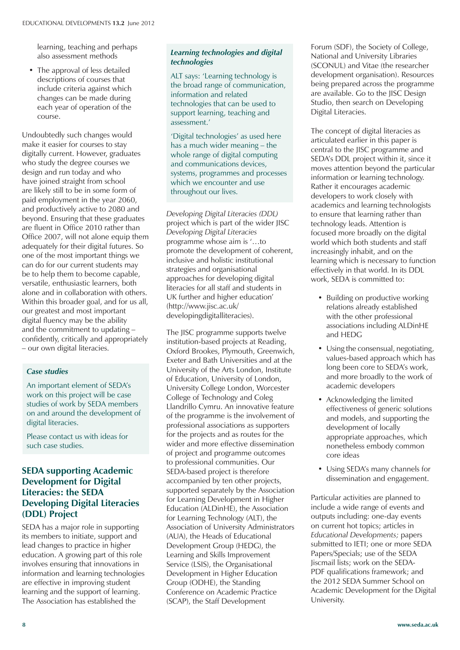learning, teaching and perhaps also assessment methods

• The approval of less detailed descriptions of courses that include criteria against which changes can be made during each year of operation of the course.

Undoubtedly such changes would make it easier for courses to stay digitally current. However, graduates who study the degree courses we design and run today and who have joined straight from school are likely still to be in some form of paid employment in the year 2060, and productively active to 2080 and beyond. Ensuring that these graduates are fluent in Office 2010 rather than Office 2007, will not alone equip them adequately for their digital futures. So one of the most important things we can do for our current students may be to help them to become capable, versatile, enthusiastic learners, both alone and in collaboration with others. Within this broader goal, and for us all, our greatest and most important digital fluency may be the ability and the commitment to updating – confidently, critically and appropriately – our own digital literacies.

#### *Case studies*

An important element of SEDA's work on this project will be case studies of work by SEDA members on and around the development of digital literacies.

Please contact us with ideas for such case studies.

### **SEDA supporting Academic Development for Digital Literacies: the SEDA Developing Digital Literacies (DDL) Project**

SEDA has a major role in supporting its members to initiate, support and lead changes to practice in higher education. A growing part of this role involves ensuring that innovations in information and learning technologies are effective in improving student learning and the support of learning. The Association has established the

#### **Design & Plan** *Learning technologies and digital technologies*

ALT says: 'Learning technology is the broad range of communication, information and related technologies that can be used to support learning, teaching and assessment.'

'Digital technologies' as used here has a much wider meaning – the whole range of digital computing and communications devices, systems, programmes and processes which we encounter and use throughout our lives.

*Developing Digital Literacies (DDL)* project which is part of the wider JISC *Developing Digital Literacies* programme whose aim is '…to promote the development of coherent, inclusive and holistic institutional strategies and organisational approaches for developing digital literacies for all staff and students in UK further and higher education' (http://www.jisc.ac.uk/ developingdigitalliteracies).

The JISC programme supports twelve institution-based projects at Reading, Oxford Brookes, Plymouth, Greenwich, Exeter and Bath Universities and at the University of the Arts London, Institute of Education, University of London, University College London, Worcester College of Technology and Coleg Llandrillo Cymru. An innovative feature of the programme is the involvement of professional associations as supporters for the projects and as routes for the wider and more effective dissemination of project and programme outcomes to professional communities. Our SEDA-based project is therefore accompanied by ten other projects, supported separately by the Association for Learning Development in Higher Education (ALDinHE), the Association for Learning Technology (ALT), the Association of University Administrators (AUA), the Heads of Educational Development Group (HEDG), the Learning and Skills Improvement Service (LSIS), the Organisational Development in Higher Education Group (ODHE), the Standing Conference on Academic Practice (SCAP), the Staff Development

Forum (SDF), the Society of College, National and University Libraries (SCONUL) and Vitae (the researcher development organisation). Resources being prepared across the programme are available. Go to the JISC Design Studio, then search on Developing Digital Literacies.

The concept of digital literacies as articulated earlier in this paper is central to the JISC programme and SEDA's DDL project within it, since it moves attention beyond the particular information or learning technology. Rather it encourages academic developers to work closely with academics and learning technologists to ensure that learning rather than technology leads. Attention is focused more broadly on the digital world which both students and staff increasingly inhabit, and on the learning which is necessary to function effectively in that world. In its DDL work, SEDA is committed to:

- Building on productive working relations already established with the other professional associations including ALDinHE and HEDG
- Using the consensual, negotiating, values-based approach which has long been core to SEDA's work, and more broadly to the work of academic developers
- • Acknowledging the limited effectiveness of generic solutions and models, and supporting the development of locally appropriate approaches, which nonetheless embody common core ideas
- • Using SEDA's many channels for dissemination and engagement.

Particular activities are planned to include a wide range of events and outputs including: one-day events on current hot topics; articles in *Educational Developments;* papers submitted to IETI; one or more SEDA Papers/Specials; use of the SEDA Jiscmail lists; work on the SEDA-PDF qualifications framework; and the 2012 SEDA Summer School on Academic Development for the Digital University.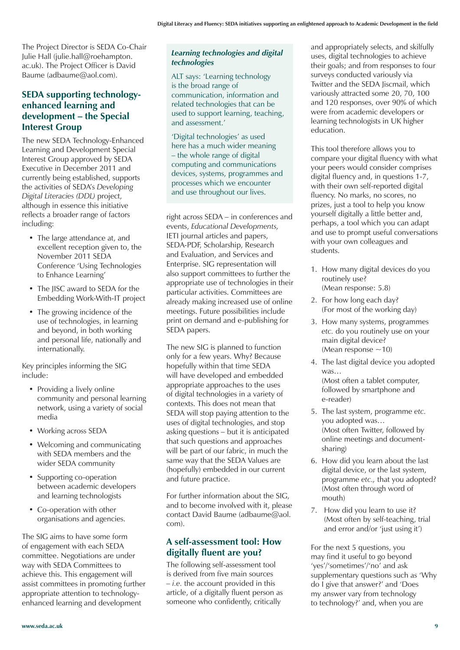The Project Director is SEDA Co-Chair Julie Hall (julie.hall@roehampton. ac.uk). The Project Officer is David Baume (adbaume@aol.com).

## **SEDA supporting technologyenhanced learning and development – the Special Interest Group**

The new SEDA Technology-Enhanced Learning and Development Special Interest Group approved by SEDA Executive in December 2011 and currently being established, supports the activities of SEDA's *Developing Digital Literacies (DDL)* project, although in essence this initiative reflects a broader range of factors including:

- The large attendance at, and excellent reception given to, the November 2011 SEDA Conference 'Using Technologies to Enhance Learning'
- The JISC award to SEDA for the Embedding Work-With-IT project
- The growing incidence of the use of technologies, in learning and beyond, in both working and personal life, nationally and internationally.

Key principles informing the SIG include:

- Providing a lively online community and personal learning network, using a variety of social media
- Working across SEDA
- Welcoming and communicating with SEDA members and the wider SEDA community
- Supporting co-operation between academic developers and learning technologists
- Co-operation with other organisations and agencies.

The SIG aims to have some form of engagement with each SEDA committee. Negotiations are under way with SEDA Committees to achieve this. This engagement will assist committees in promoting further appropriate attention to technologyenhanced learning and development

#### *Learning technologies and digital technologies*

ALT says: 'Learning technology is the broad range of communication, information and related technologies that can be used to support learning, teaching, and assessment.'

'Digital technologies' as used here has a much wider meaning – the whole range of digital computing and communications devices, systems, programmes and processes which we encounter and use throughout our lives.

right across SEDA *–* in conferences and events, *Educational Developments,* IETI journal articles and papers, SEDA-PDF, Scholarship, Research and Evaluation, and Services and Enterprise. SIG representation will also support committees to further the appropriate use of technologies in their particular activities. Committees are already making increased use of online meetings. Future possibilities include print on demand and e-publishing for SEDA papers.

The new SIG is planned to function only for a few years. Why? Because hopefully within that time SEDA will have developed and embedded appropriate approaches to the uses of digital technologies in a variety of contexts. This does not mean that SEDA will stop paying attention to the uses of digital technologies, and stop asking questions *–* but it is anticipated that such questions and approaches will be part of our fabric, in much the same way that the SEDA Values are (hopefully) embedded in our current and future practice.

For further information about the SIG, and to become involved with it, please contact David Baume (adbaume@aol. com).

## **A self-assessment tool: How digitally fluent are you?**

The following self-assessment tool is derived from five main sources *– i.e.* the account provided in this article, of a digitally fluent person as someone who confidently, critically

and appropriately selects, and skilfully uses, digital technologies to achieve their goals; and from responses to four surveys conducted variously via Twitter and the SEDA Jiscmail, which variously attracted some 20, 70, 100 and 120 responses, over 90% of which were from academic developers or learning technologists in UK higher education.

This tool therefore allows you to compare your digital fluency with what your peers would consider comprises digital fluency and, in questions 1-7, with their own self-reported digital fluency. No marks, no scores, no prizes, just a tool to help you know yourself digitally a little better and, perhaps, a tool which you can adapt and use to prompt useful conversations with your own colleagues and students.

- 1. How many digital devices do you routinely use? (Mean response: 5.8)
- 2. For how long each day? (For most of the working day)
- 3. How many systems, programmes *etc.* do you routinely use on your main digital device? (Mean response  $\sim$ 10)
- 4. The last digital device you adopted was… (Most often a tablet computer, followed by smartphone and e-reader)
- 5. The last system, programme *etc.* you adopted was… (Most often Twitter, followed by online meetings and documentsharing)
- 6. How did you learn about the last digital device, or the last system, programme *etc.,* that you adopted? (Most often through word of mouth)
- 7. How did you learn to use it? (Most often by self-teaching, trial and error and/or 'just using it')

For the next 5 questions, you may find it useful to go beyond 'yes'/'sometimes'/'no' and ask supplementary questions such as 'Why do I give that answer?' and 'Does my answer vary from technology to technology?' and, when you are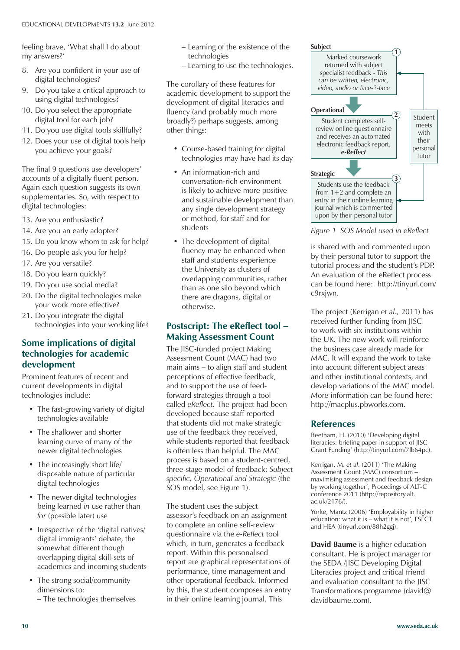feeling brave, 'What shall I do about my answers?'

- 8. Are you confident in your use of digital technologies?
- 9. Do you take a critical approach to using digital technologies?
- 10. Do you select the appropriate digital tool for each job?
- 11. Do you use digital tools skillfully?
- 12. Does your use of digital tools help you achieve your goals?

The final 9 questions use developers' accounts of a digitally fluent person. Again each question suggests its own supplementaries. So, with respect to digital technologies:

- 13. Are you enthusiastic?
- 14. Are you an early adopter?
- 15. Do you know whom to ask for help?
- 16. Do people ask you for help?
- 17. Are you versatile?
- 18. Do you learn quickly?
- 19. Do you use social media?
- 20. Do the digital technologies make your work more effective?
- 21. Do you integrate the digital technologies into your working life?

## **Some implications of digital technologies for academic development**

Prominent features of recent and current developments in digital technologies include:

- The fast-growing variety of digital technologies available
- The shallower and shorter learning curve of many of the newer digital technologies
- The increasingly short life/ disposable nature of particular digital technologies
- The newer digital technologies being learned *in* use rather than *for* (possible later) use
- Irrespective of the 'digital natives/ digital immigrants' debate, the somewhat different though overlapping digital skill-sets of academics and incoming students
- The strong social/community dimensions to:
	- The technologies themselves
- Learning of the existence of the technologies
- Learning to use the technologies.

The corollary of these features for academic development to support the development of digital literacies and fluency (and probably much more broadly?) perhaps suggests, among other things:

- Course-based training for digital technologies may have had its day
- An information-rich and conversation-rich environment is likely to achieve more positive and sustainable development than any single development strategy or method, for staff and for students
- The development of digital fluency may be enhanced when staff and students experience the University as clusters of overlapping communities, rather than as one silo beyond which there are dragons, digital or otherwise.

## **Postscript: The eReflect tool – Making Assessment Count**

The IISC-funded project Making Assessment Count (MAC) had two main aims – to align staff and student perceptions of effective feedback, and to support the use of feedforward strategies through a tool called *eReflect.* The project had been developed because staff reported that students did not make strategic use of the feedback they received, while students reported that feedback is often less than helpful. The MAC process is based on a student-centred, three-stage model of feedback: *Subject specific, Operational and Strategic* (the SOS model, see Figure 1).

The student uses the subject assessor's feedback on an assignment to complete an online self-review questionnaire via the *e-Reflect* tool which, in turn, generates a feedback report. Within this personalised report are graphical representations of performance, time management and other operational feedback. Informed by this, the student composes an entry in their online learning journal. This



*Figure 1 SOS Model used in eReflect*

is shared with and commented upon by their personal tutor to support the tutorial process and the student's PDP. An evaluation of the eReflect process can be found here: http://tinyurl.com/ c9rxjwn.

The project (Kerrigan *et al.,* 2011) has received further funding from JISC to work with six institutions within the UK. The new work will reinforce the business case already made for MAC. It will expand the work to take into account different subject areas and other institutional contexts, and develop variations of the MAC model. More information can be found here: http://macplus.pbworks.com.

### **References**

Beetham, H. (2010) 'Developing digital literacies: briefing paper in support of JISC Grant Funding' (http://tinyurl.com/7lb64pc).

Kerrigan, M. *et al.* (2011) 'The Making Assessment Count (MAC) consortium – maximising assessment and feedback design by working together', Procedings of ALT-C conference 2011 (http://repository.alt. ac.uk/2176/).

Yorke, Mantz (2006) 'Employability in higher education: what it is – what it is not', ESECT and HEA (tinyurl.com/88h2ggj).

**David Baume** is a higher education consultant. He is project manager for the SEDA /JISC Developing Digital Literacies project and critical friend and evaluation consultant to the JISC Transformations programme (david@ davidbaume.com).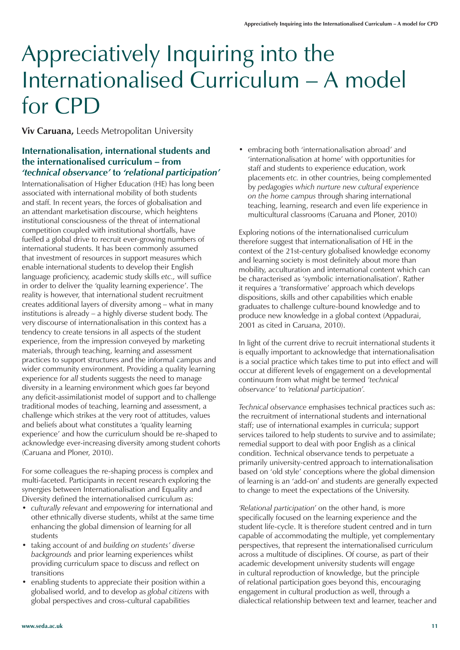## Appreciatively Inquiring into the Internationalised Curriculum – A model for CPD

**Viv Caruana,** Leeds Metropolitan University

### **Internationalisation, international students and the internationalised curriculum – from** *'technical observance'* **to** *'relational participation'*

Internationalisation of Higher Education (HE) has long been associated with international mobility of both students and staff. In recent years, the forces of globalisation and an attendant marketisation discourse, which heightens institutional consciousness of the threat of international competition coupled with institutional shortfalls, have fuelled a global drive to recruit ever-growing numbers of international students. It has been commonly assumed that investment of resources in support measures which enable international students to develop their English language proficiency, academic study skills *etc.,* will suffice in order to deliver the 'quality learning experience'. The reality is however, that international student recruitment creates additional layers of diversity among – what in many institutions is already – a highly diverse student body. The very discourse of internationalisation in this context has a tendency to create tensions in all aspects of the student experience, from the impression conveyed by marketing materials, through teaching, learning and assessment practices to support structures and the informal campus and wider community environment. Providing a quality learning experience for *all* students suggests the need to manage diversity in a learning environment which goes far beyond any deficit-assimilationist model of support and to challenge traditional modes of teaching, learning and assessment, a challenge which strikes at the very root of attitudes, values and beliefs about what constitutes a 'quality learning experience' and how the curriculum should be re-shaped to acknowledge ever-increasing diversity among student cohorts (Caruana and Ploner, 2010).

For some colleagues the re-shaping process is complex and multi-faceted. Participants in recent research exploring the synergies between Internationalisation and Equality and Diversity defined the internationalised curriculum as:

- • *culturally relevant* and *empowering* for international and other ethnically diverse students, whilst at the same time enhancing the global dimension of learning for all students
- • taking account of and *building on students' diverse backgrounds* and prior learning experiences whilst providing curriculum space to discuss and reflect on transitions
- enabling students to appreciate their position within a globalised world, and to develop as *global citizens* with global perspectives and cross-cultural capabilities

• embracing both 'internationalisation abroad' and 'internationalisation at home' with opportunities for staff and students to experience education, work placements *etc.* in other countries, being complemented by *pedagogies which nurture new cultural experience on the home campus* through sharing international teaching, learning, research and even life experience in multicultural classrooms (Caruana and Ploner, 2010)

Exploring notions of the internationalised curriculum therefore suggest that internationalisation of HE in the context of the 21st-century globalised knowledge economy and learning society is most definitely about more than mobility, acculturation and international content which can be characterised as 'symbolic internationalisation'. Rather it requires a 'transformative' approach which develops dispositions, skills and other capabilities which enable graduates to challenge culture-bound knowledge and to produce new knowledge in a global context (Appadurai, 2001 as cited in Caruana, 2010).

In light of the current drive to recruit international students it is equally important to acknowledge that internationalisation is a social practice which takes time to put into effect and will occur at different levels of engagement on a developmental continuum from what might be termed *'technical observance'* to *'relational participation'.* 

*Technical observance* emphasises technical practices such as: the recruitment of international students and international staff; use of international examples in curricula; support services tailored to help students to survive and to assimilate; remedial support to deal with poor English as a clinical condition. Technical observance tends to perpetuate a primarily university-centred approach to internationalisation based on 'old style' conceptions where the global dimension of learning is an 'add-on' and students are generally expected to change to meet the expectations of the University.

*'Relational participation'* on the other hand, is more specifically focused on the learning experience and the student life-cycle. It is therefore student centred and in turn capable of accommodating the multiple, yet complementary perspectives, that represent the internationalised curriculum across a multitude of disciplines. Of course, as part of their academic development university students will engage in cultural reproduction of knowledge, but the principle of relational participation goes beyond this, encouraging engagement in cultural production as well, through a dialectical relationship between text and learner, teacher and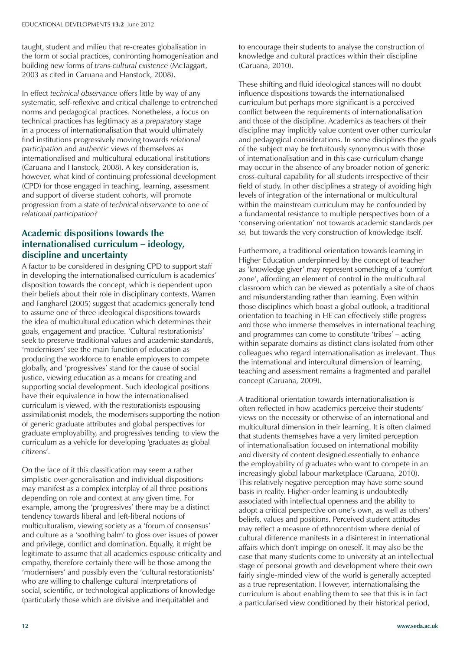taught, student and milieu that re-creates globalisation in the form of social practices, confronting homogenisation and building new forms of *trans-cultural existence* (McTaggart, 2003 as cited in Caruana and Hanstock, 2008).

In effect *technical observance* offers little by way of any systematic, self-reflexive and critical challenge to entrenched norms and pedagogical practices. Nonetheless, a focus on technical practices has legitimacy as a *preparatory* stage in a process of internationalisation that would ultimately find institutions progressively moving towards *relational participation* and *authentic* views of themselves as internationalised and multicultural educational institutions (Caruana and Hanstock, 2008). A key consideration is, however, what kind of continuing professional development (CPD) for those engaged in teaching, learning, assessment and support of diverse student cohorts, will promote progression from a state of *technical observance* to one of *relational participation?*

## **Academic dispositions towards the internationalised curriculum – ideology, discipline and uncertainty**

A factor to be considered in designing CPD to support staff in developing the internationalised curriculum is academics' disposition towards the concept, which is dependent upon their beliefs about their role in disciplinary contexts. Warren and Fangharel (2005) suggest that academics generally tend to assume one of three ideological dispositions towards the idea of multicultural education which determines their goals, engagement and practice. 'Cultural restorationists' seek to preserve traditional values and academic standards, 'modernisers' see the main function of education as producing the workforce to enable employers to compete globally, and 'progressives' stand for the cause of social justice, viewing education as a means for creating and supporting social development. Such ideological positions have their equivalence in how the internationalised curriculum is viewed, with the restorationists espousing assimilationist models, the modernisers supporting the notion of generic graduate attributes and global perspectives for graduate employability, and progressives tending to view the curriculum as a vehicle for developing 'graduates as global citizens'.

On the face of it this classification may seem a rather simplistic over-generalisation and individual dispositions may manifest as a complex interplay of all three positions depending on role and context at any given time. For example, among the 'progressives' there may be a distinct tendency towards liberal and left-liberal notions of multiculturalism, viewing society as a 'forum of consensus' and culture as a 'soothing balm' to gloss over issues of power and privilege, conflict and domination. Equally, it might be legitimate to assume that all academics espouse criticality and empathy, therefore certainly there will be those among the 'modernisers' and possibly even the 'cultural restorationists' who are willing to challenge cultural interpretations of social, scientific, or technological applications of knowledge (particularly those which are divisive and inequitable) and

to encourage their students to analyse the construction of knowledge and cultural practices within their discipline (Caruana, 2010).

These shifting and fluid ideological stances will no doubt influence dispositions towards the internationalised curriculum but perhaps more significant is a perceived conflict between the requirements of internationalisation and those of the discipline. Academics as teachers of their discipline may implicitly value content over other curricular and pedagogical considerations. In some disciplines the goals of the subject may be fortuitously synonymous with those of internationalisation and in this case curriculum change may occur in the absence of any broader notion of generic cross-cultural capability for all students irrespective of their field of study. In other disciplines a strategy of avoiding high levels of integration of the international or multicultural within the mainstream curriculum may be confounded by a fundamental resistance to multiple perspectives born of a 'conserving orientation' not towards academic standards *per se,* but towards the very construction of knowledge itself.

Furthermore, a traditional orientation towards learning in Higher Education underpinned by the concept of teacher as 'knowledge giver' may represent something of a 'comfort zone', affording an element of control in the multicultural classroom which can be viewed as potentially a site of chaos and misunderstanding rather than learning. Even within those disciplines which boast a global outlook, a traditional orientation to teaching in HE can effectively stifle progress and those who immerse themselves in international teaching and programmes can come to constitute 'tribes' – acting within separate domains as distinct clans isolated from other colleagues who regard internationalisation as irrelevant. Thus the international and intercultural dimension of learning, teaching and assessment remains a fragmented and parallel concept (Caruana, 2009).

A traditional orientation towards internationalisation is often reflected in how academics perceive their students' views on the necessity or otherwise of an international and multicultural dimension in their learning. It is often claimed that students themselves have a very limited perception of internationalisation focused on international mobility and diversity of content designed essentially to enhance the employability of graduates who want to compete in an increasingly global labour marketplace (Caruana, 2010). This relatively negative perception may have some sound basis in reality. Higher-order learning is undoubtedly associated with intellectual openness and the ability to adopt a critical perspective on one's own, as well as others' beliefs, values and positions. Perceived student attitudes may reflect a measure of ethnocentrism where denial of cultural difference manifests in a disinterest in international affairs which don't impinge on oneself. It may also be the case that many students come to university at an intellectual stage of personal growth and development where their own fairly single-minded view of the world is generally accepted as a true representation. However, internationalising the curriculum is about enabling them to see that this is in fact a particularised view conditioned by their historical period,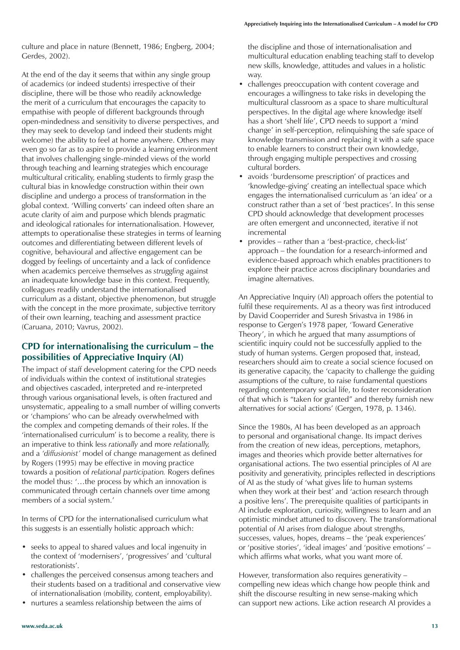culture and place in nature (Bennett, 1986; Engberg, 2004; Gerdes, 2002).

At the end of the day it seems that within any single group of academics (or indeed students) irrespective of their discipline, there will be those who readily acknowledge the merit of a curriculum that encourages the capacity to empathise with people of different backgrounds through open-mindedness and sensitivity to diverse perspectives, and they may seek to develop (and indeed their students might welcome) the ability to feel at home anywhere. Others may even go so far as to aspire to provide a learning environment that involves challenging single-minded views of the world through teaching and learning strategies which encourage multicultural criticality, enabling students to firmly grasp the cultural bias in knowledge construction within their own discipline and undergo a process of transformation in the global context. 'Willing converts' can indeed often share an acute clarity of aim and purpose which blends pragmatic and ideological rationales for internationalisation. However, attempts to operationalise these strategies in terms of learning outcomes and differentiating between different levels of cognitive, behavioural and affective engagement can be dogged by feelings of uncertainty and a lack of confidence when academics perceive themselves as *struggling* against an inadequate knowledge base in this context. Frequently, colleagues readily understand the internationalised curriculum as a distant, objective phenomenon, but struggle with the concept in the more proximate, subjective territory of their own learning, teaching and assessment practice (Caruana, 2010; Vavrus, 2002).

### **CPD for internationalising the curriculum – the possibilities of Appreciative Inquiry (AI)**

The impact of staff development catering for the CPD needs of individuals within the context of institutional strategies and objectives cascaded, interpreted and re-interpreted through various organisational levels, is often fractured and unsystematic, appealing to a small number of willing converts or 'champions' who can be already overwhelmed with the complex and competing demands of their roles. If the 'internationalised curriculum' is to become a reality, there is an imperative to think less *rationally* and more *relationally,* and a *'diffusionist'* model of change management as defined by Rogers (1995) may be effective in moving practice towards a position of *relational participation.* Rogers defines the model thus: '…the process by which an innovation is communicated through certain channels over time among members of a social system.'

In terms of CPD for the internationalised curriculum what this suggests is an essentially holistic approach which:

- seeks to appeal to shared values and local ingenuity in the context of 'modernisers', 'progressives' and 'cultural restorationists'.
- challenges the perceived consensus among teachers and their students based on a traditional and conservative view of internationalisation (mobility, content, employability).
- nurtures a seamless relationship between the aims of

the discipline and those of internationalisation and multicultural education enabling teaching staff to develop new skills, knowledge, attitudes and values in a holistic way.

- challenges preoccupation with content coverage and encourages a willingness to take risks in developing the multicultural classroom as a space to share multicultural perspectives. In the digital age where knowledge itself has a short 'shelf life', CPD needs to support a 'mind change' in self-perception, relinquishing the safe space of knowledge transmission and replacing it with a safe space to enable learners to construct their own knowledge, through engaging multiple perspectives and crossing cultural borders.
- • avoids 'burdensome prescription' of practices and 'knowledge-giving' creating an intellectual space which engages the internationalised curriculum as 'an idea' or a construct rather than a set of 'best practices'. In this sense CPD should acknowledge that development processes are often emergent and unconnected, iterative if not incremental
- provides rather than a 'best-practice, check-list' approach – the foundation for a research-informed and evidence-based approach which enables practitioners to explore their practice across disciplinary boundaries and imagine alternatives.

An Appreciative Inquiry (AI) approach offers the potential to fulfil these requirements. AI as a theory was first introduced by David Cooperrider and Suresh Srivastva in 1986 in response to Gergen's 1978 paper, 'Toward Generative Theory', in which he argued that many assumptions of scientific inquiry could not be successfully applied to the study of human systems. Gergen proposed that, instead, researchers should aim to create a social science focused on its generative capacity, the 'capacity to challenge the guiding assumptions of the culture, to raise fundamental questions regarding contemporary social life, to foster reconsideration of that which is "taken for granted" and thereby furnish new alternatives for social actions' (Gergen, 1978, p. 1346).

Since the 1980s, AI has been developed as an approach to personal and organisational change. Its impact derives from the creation of new ideas, perceptions, metaphors, images and theories which provide better alternatives for organisational actions. The two essential principles of AI are positivity and generativity, principles reflected in descriptions of AI as the study of 'what gives life to human systems when they work at their best' and 'action research through a positive lens'. The prerequisite qualities of participants in AI include exploration, curiosity, willingness to learn and an optimistic mindset attuned to discovery. The transformational potential of AI arises from dialogue about strengths, successes, values, hopes, dreams – the 'peak experiences' or 'positive stories', 'ideal images' and 'positive emotions' – which affirms what works, what you want more of.

However, transformation also requires generativity – compelling new ideas which change how people think and shift the discourse resulting in new sense-making which can support new actions. Like action research AI provides a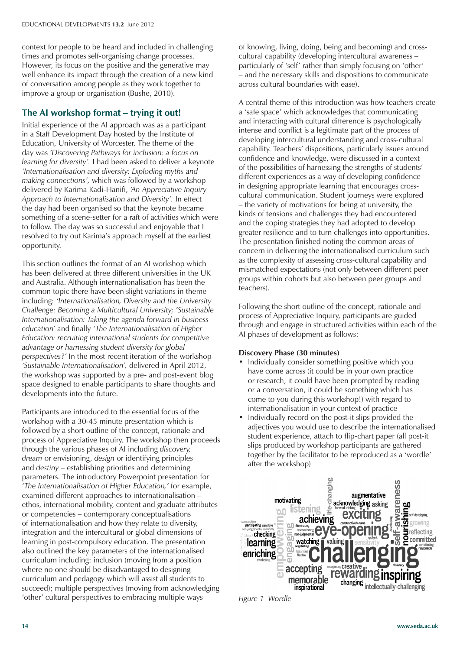context for people to be heard and included in challenging times and promotes self-organising change processes. However, its focus on the positive and the generative may well enhance its impact through the creation of a new kind of conversation among people as they work together to improve a group or organisation (Bushe, 2010).

## **The AI workshop format – trying it out!**

Initial experience of the AI approach was as a participant in a Staff Development Day hosted by the Institute of Education, University of Worcester. The theme of the day was *'Discovering Pathways for inclusion: a focus on learning for diversity'.* I had been asked to deliver a keynote *'Internationalisation and diversity: Exploding myths and making connections',* which was followed by a workshop delivered by Karima Kadi-Hanifi, *'An Appreciative Inquiry Approach to Internationalisation and Diversity'.* In effect the day had been organised so that the keynote became something of a scene-setter for a raft of activities which were to follow. The day was so successful and enjoyable that I resolved to try out Karima's approach myself at the earliest opportunity.

This section outlines the format of an AI workshop which has been delivered at three different universities in the UK and Australia. Although internationalisation has been the common topic there have been slight variations in theme including: *'Internationalisation, Diversity and the University Challenge: Becoming a Multicultural University; 'Sustainable Internationalisation: Taking the agenda forward in business education'* and finally *'The Internationalisation of Higher Education: recruiting international students for competitive advantage or harnessing student diversity for global perspectives?'* In the most recent iteration of the workshop *'Sustainable Internationalisation',* delivered in April 2012, the workshop was supported by a pre- and post-event blog space designed to enable participants to share thoughts and developments into the future.

Participants are introduced to the essential focus of the workshop with a 30-45 minute presentation which is followed by a short outline of the concept, rationale and process of Appreciative Inquiry. The workshop then proceeds through the various phases of AI including *discovery, dream* or envisioning, *design* or identifying principles and *destiny* – establishing priorities and determining parameters. The introductory Powerpoint presentation for *'The Internationalisation of Higher Education,'* for example, examined different approaches to internationalisation – ethos, international mobility, content and graduate attributes or competencies – contemporary conceptualisations of internationalisation and how they relate to diversity, integration and the intercultural or global dimensions of learning in post-compulsory education. The presentation also outlined the key parameters of the internationalised curriculum including: inclusion (moving from a position where no one should be disadvantaged to designing curriculum and pedagogy which will assist all students to succeed); multiple perspectives (moving from acknowledging 'other' cultural perspectives to embracing multiple ways

of knowing, living, doing, being and becoming) and crosscultural capability (developing intercultural awareness – particularly of 'self' rather than simply focusing on 'other' – and the necessary skills and dispositions to communicate across cultural boundaries with ease).

A central theme of this introduction was how teachers create a 'safe space' which acknowledges that communicating and interacting with cultural difference is psychologically intense and conflict is a legitimate part of the process of developing intercultural understanding and cross-cultural capability. Teachers' dispositions, particularly issues around confidence and knowledge, were discussed in a context of the possibilities of harnessing the strengths of students' different experiences as a way of developing confidence in designing appropriate learning that encourages crosscultural communication. Student journeys were explored – the variety of motivations for being at university, the kinds of tensions and challenges they had encountered and the coping strategies they had adopted to develop greater resilience and to turn challenges into opportunities. The presentation finished noting the common areas of concern in delivering the internationalised curriculum such as the complexity of assessing cross-cultural capability and mismatched expectations (not only between different peer groups within cohorts but also between peer groups and teachers).

Following the short outline of the concept, rationale and process of Appreciative Inquiry, participants are guided through and engage in structured activities within each of the AI phases of development as follows:

#### **Discovery Phase (30 minutes)**

- Individually consider something positive which you have come across (it could be in your own practice or research, it could have been prompted by reading or a conversation, it could be something which has come to you during this workshop!) with regard to internationalisation in your context of practice
- Individually record on the post-it slips provided the adjectives you would use to describe the internationalised student experience, attach to flip-chart paper (all post-it slips produced by workshop participants are gathered together by the facilitator to be reproduced as a 'wordle' after the workshop)



*Figure 1 Wordle*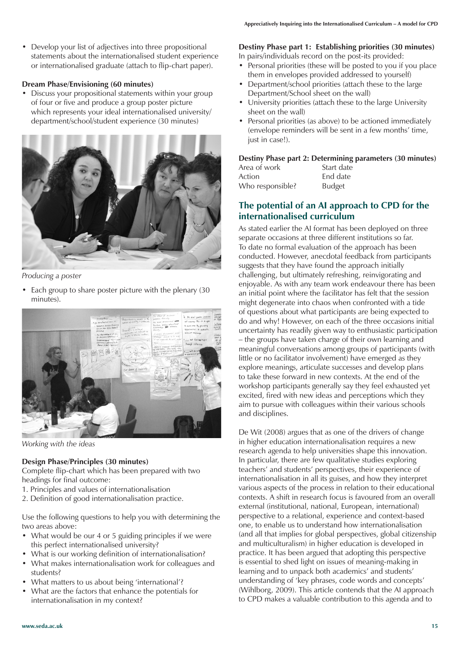• Develop your list of adjectives into three propositional statements about the internationalised student experience or internationalised graduate (attach to flip-chart paper).

### **Dream Phase/Envisioning (60 minutes)**

Discuss your propositional statements within your group of four or five and produce a group poster picture which represents your ideal internationalised university/ department/school/student experience (30 minutes)



*Producing a poster*

• Each group to share poster picture with the plenary (30 minutes).



*Working with the ideas*

## **Design Phase/Principles (30 minutes)**

Complete flip-chart which has been prepared with two headings for final outcome:

- 1. Principles and values of internationalisation
- 2. Definition of good internationalisation practice.

Use the following questions to help you with determining the two areas above:

- What would be our 4 or 5 guiding principles if we were this perfect internationalised university?
- What is our working definition of internationalisation?
- What makes internationalisation work for colleagues and students?
- What matters to us about being 'international'?
- What are the factors that enhance the potentials for internationalisation in my context?

## **Destiny Phase part 1: Establishing priorities (30 minutes)**

In pairs/individuals record on the post-its provided:

- Personal priorities (these will be posted to you if you place them in envelopes provided addressed to yourself)
- Department/school priorities (attach these to the large Department/School sheet on the wall)
- University priorities (attach these to the large University sheet on the wall)
- Personal priorities (as above) to be actioned immediately (envelope reminders will be sent in a few months' time, just in case!).

## **Destiny Phase part 2: Determining parameters (30 minutes)**

| Area of work     | Start date    |
|------------------|---------------|
| Action           | End date      |
| Who responsible? | <b>Budget</b> |

## **The potential of an AI approach to CPD for the internationalised curriculum**

As stated earlier the AI format has been deployed on three separate occasions at three different institutions so far. To date no formal evaluation of the approach has been conducted. However, anecdotal feedback from participants suggests that they have found the approach initially challenging, but ultimately refreshing, reinvigorating and enjoyable. As with any team work endeavour there has been an initial point where the facilitator has felt that the session might degenerate into chaos when confronted with a tide of questions about what participants are being expected to do and why! However, on each of the three occasions initial uncertainty has readily given way to enthusiastic participation – the groups have taken charge of their own learning and meaningful conversations among groups of participants (with little or no facilitator involvement) have emerged as they explore meanings, articulate successes and develop plans to take these forward in new contexts. At the end of the workshop participants generally say they feel exhausted yet excited, fired with new ideas and perceptions which they aim to pursue with colleagues within their various schools and disciplines.

De Wit (2008) argues that as one of the drivers of change in higher education internationalisation requires a new research agenda to help universities shape this innovation. In particular, there are few qualitative studies exploring teachers' and students' perspectives, their experience of internationalisation in all its guises, and how they interpret various aspects of the process in relation to their educational contexts. A shift in research focus is favoured from an overall external (institutional, national, European, international) perspective to a relational, experience and context-based one, to enable us to understand how internationalisation (and all that implies for global perspectives, global citizenship and multiculturalism) in higher education is developed in practice. It has been argued that adopting this perspective is essential to shed light on issues of meaning-making in learning and to unpack both academics' and students' understanding of 'key phrases, code words and concepts' (Wihlborg, 2009). This article contends that the AI approach to CPD makes a valuable contribution to this agenda and to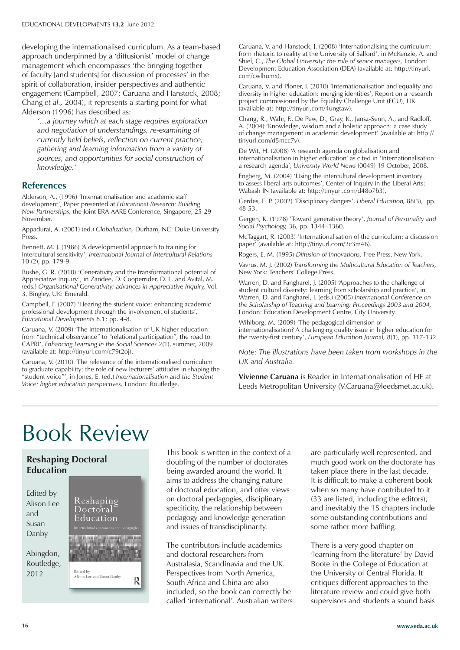developing the internationalised curriculum. As a team-based approach underpinned by a 'diffusionist' model of change management which encompasses 'the bringing together of faculty [and students] for discussion of processes' in the spirit of collaboration, insider perspectives and authentic engagement (Campbell, 2007; Caruana and Hanstock, 2008; Chang *et al.,* 2004), it represents a starting point for what Alderson (1996) has described as:

*'…a journey which at each stage requires exploration and negotiation of understandings, re-examining of currently held beliefs, reflection on current practice, gathering and learning information from a variety of sources, and opportunities for social construction of knowledge.'*

### **References**

Alderson, A., (1996) 'Internationalisation and academic staff development', Paper presented at *Educational Research: Building New Partnerships,* the Joint ERA-AARE Conference, Singapore, 25-29 November.

Appadurai, A. (2001) (ed.) *Globalization,* Durham, NC: Duke University Press.

Bennett, M. J. (1986) 'A developmental approach to training for intercultural sensitivity', *International Journal of Intercultural Relations*  10 (2), pp. 179-9.

Bushe, G. R. (2010) 'Generativity and the transformational potential of Appreciative Inquiry', in Zandee, D. Cooperrider, D. L. and Avital, M. (eds.) *Organisational Generativity: advances in Appreciative Inquiry,* Vol. 3, Bingley, UK: Emerald.

Campbell, F. (2007) 'Hearing the student voice: enhancing academic professional development through the involvement of students', *Educational Developments* 8.1: pp. 4-8.

Caruana, V. (2009) 'The internationalisation of UK higher education: from "technical observance" to "relational participation", the road to CAPRI', *Enhancing Learning in the Social Sciences* 2(1), summer, 2009 (available at: http://tinyurl.com/c79t2oj).

Caruana, V. (2010) 'The relevance of the internationalised curriculum to graduate capability: the role of new lecturers' attitudes in shaping the "student voice"', in Jones, E. (ed.) *Internationalisation and the Student Voice: higher education perspectives,* London: Routledge.

Caruana, V. and Hanstock, J. (2008) 'Internationalising the curriculum: from rhetoric to reality at the University of Salford', in McKenzie, A. and Shiel, C., *The Global University: the role of senior managers,* London: Development Education Association (DEA) (available at: http://tinyurl. com/cwlhumx).

Caruana, V. and Ploner, J. (2010) 'Internationalisation and equality and diversity in higher education: merging identities', Report on a research project commissioned by the Equality Challenge Unit (ECU), UK (available at: http://tinyurl.com/4ungtaw).

Chang, R., Wahr, F., De Pew, D., Gray, K., Jansz-Senn, A., and Radloff, A. (2004) 'Knowledge, wisdom and a holistic approach: a case study of change management in academic development' (available at: http:// tinyurl.com/d5mcc7v).

De Wit, H. (2008) 'A research agenda on globalisation and internationalisation in higher education' as cited in 'Internationalisation: a research agenda', *University World News* (0049) 19 October, 2008.

Engberg, M. (2004) 'Using the intercultural development inventory to assess liberal arts outcomes', Center of Inquiry in the Liberal Arts: Wabash IN (available at: http://tinyurl.com/d48o7b3).

Gerdes, E. P. (2002) 'Disciplinary dangers', *Liberal Education,* 88(3), pp. 48-53.

Gergen, K. (1978) 'Toward generative theory', *Journal of Personality and Social Psychology,* 36, pp. 1344–1360.

McTaggart, R. (2003) 'Internationalisation of the curriculum: a discussion paper' (available at: http://tinyurl.com/2c3m46).

Rogers, E. M. (1995) *Diffusion of Innovations,* Free Press, New York.

Vavrus, M. J. (2002) *Transforming the Multicultural Education of Teachers,* New York: Teachers' College Press.

Warren, D. and Fangharel, J. (2005) 'Approaches to the challenge of student cultural diversity: learning from scholarship and practice', in Warren, D. and Fangharel, J. (eds.) (2005) *International Conference on the Scholarship of Teaching and Learning: Proceedings 2003 and 2004,* London: Education Development Centre, City University.

Wihlborg, M. (2009) 'The pedagogical dimension of internationalisation? A challenging quality issue in higher education for the twenty-first century', *European Education Journal,* 8(1), pp. 117-132.

*Note: The illustrations have been taken from workshops in the UK and Australia.*

**Vivienne Caruana** is Reader in Internationalisation of HE at Leeds Metropolitan University (V.Caruana@leedsmet.ac.uk).

# Book Review

## **Reshaping Doctoral Education**

Edited by Alison Lee and Susan Danby

Abingdon, Routledge, 2012



This book is written in the context of a doubling of the number of doctorates being awarded around the world. It aims to address the changing nature of doctoral education, and offer views on doctoral pedagogies, disciplinary specificity, the relationship between pedagogy and knowledge generation and issues of transdisciplinarity.

The contributors include academics and doctoral researchers from Australasia, Scandinavia and the UK. Perspectives from North America, South Africa and China are also included, so the book can correctly be called 'international'. Australian writers are particularly well represented, and much good work on the doctorate has taken place there in the last decade. It is difficult to make a coherent book when so many have contributed to it (33 are listed, including the editors), and inevitably the 15 chapters include some outstanding contributions and some rather more baffling.

There is a very good chapter on 'learning from the literature' by David Boote in the College of Education at the University of Central Florida. It critiques different approaches to the literature review and could give both supervisors and students a sound basis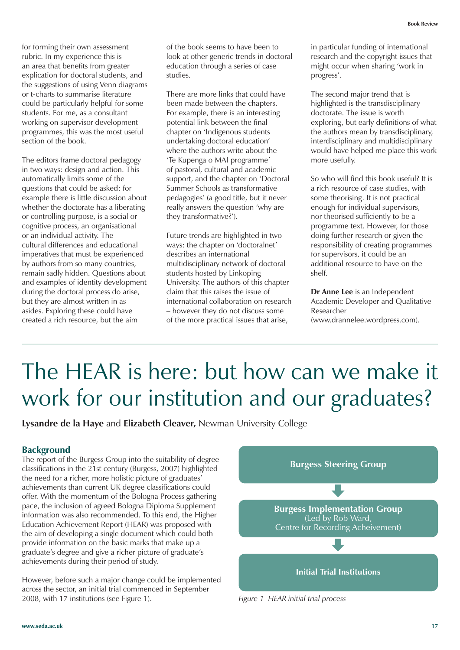for forming their own assessment rubric. In my experience this is an area that benefits from greater explication for doctoral students, and the suggestions of using Venn diagrams or t-charts to summarise literature could be particularly helpful for some students. For me, as a consultant working on supervisor development programmes, this was the most useful section of the book.

The editors frame doctoral pedagogy in two ways: design and action. This automatically limits some of the questions that could be asked: for example there is little discussion about whether the doctorate has a liberating or controlling purpose, is a social or cognitive process, an organisational or an individual activity. The cultural differences and educational imperatives that must be experienced by authors from so many countries, remain sadly hidden. Questions about and examples of identity development during the doctoral process do arise, but they are almost written in as asides. Exploring these could have created a rich resource, but the aim

of the book seems to have been to look at other generic trends in doctoral education through a series of case studies.

There are more links that could have been made between the chapters. For example, there is an interesting potential link between the final chapter on 'Indigenous students undertaking doctoral education' where the authors write about the 'Te Kupenga o MAI programme' of pastoral, cultural and academic support, and the chapter on 'Doctoral Summer Schools as transformative pedagogies' (a good title, but it never really answers the question 'why are they transformative?').

Future trends are highlighted in two ways: the chapter on 'doctoralnet' describes an international multidisciplinary network of doctoral students hosted by Linkoping University. The authors of this chapter claim that this raises the issue of international collaboration on research – however they do not discuss some of the more practical issues that arise,

in particular funding of international research and the copyright issues that might occur when sharing 'work in progress'.

The second major trend that is highlighted is the transdisciplinary doctorate. The issue is worth exploring, but early definitions of what the authors mean by transdisciplinary, interdisciplinary and multidisciplinary would have helped me place this work more usefully.

So who will find this book useful? It is a rich resource of case studies, with some theorising. It is not practical enough for individual supervisors, nor theorised sufficiently to be a programme text. However, for those doing further research or given the responsibility of creating programmes for supervisors, it could be an additional resource to have on the shelf.

**Dr Anne Lee** is an Independent Academic Developer and Qualitative Researcher (www.drannelee.wordpress.com).

## The HEAR is here: but how can we make it work for our institution and our graduates?

**Lysandre de la Haye** and **Elizabeth Cleaver,** Newman University College

### **Background**

The report of the Burgess Group into the suitability of degree classifications in the 21st century (Burgess, 2007) highlighted the need for a richer, more holistic picture of graduates' achievements than current UK degree classifications could offer. With the momentum of the Bologna Process gathering pace, the inclusion of agreed Bologna Diploma Supplement information was also recommended. To this end, the Higher Education Achievement Report (HEAR) was proposed with the aim of developing a single document which could both provide information on the basic marks that make up a graduate's degree and give a richer picture of graduate's achievements during their period of study.

However, before such a major change could be implemented across the sector, an initial trial commenced in September 2008, with 17 institutions (see Figure 1).



*Figure 1 HEAR initial trial process*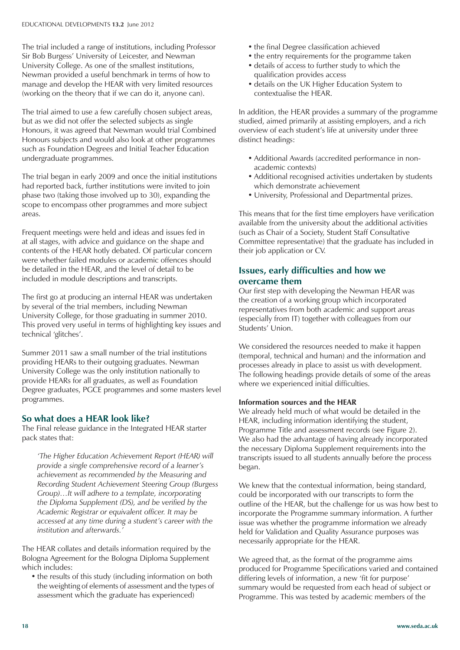The trial included a range of institutions, including Professor Sir Bob Burgess' University of Leicester, and Newman University College. As one of the smallest institutions, Newman provided a useful benchmark in terms of how to manage and develop the HEAR with very limited resources (working on the theory that if we can do it, anyone can).

The trial aimed to use a few carefully chosen subject areas, but as we did not offer the selected subjects as single Honours, it was agreed that Newman would trial Combined Honours subjects and would also look at other programmes such as Foundation Degrees and Initial Teacher Education undergraduate programmes.

The trial began in early 2009 and once the initial institutions had reported back, further institutions were invited to join phase two (taking those involved up to 30), expanding the scope to encompass other programmes and more subject areas.

Frequent meetings were held and ideas and issues fed in at all stages, with advice and guidance on the shape and contents of the HEAR hotly debated. Of particular concern were whether failed modules or academic offences should be detailed in the HEAR, and the level of detail to be included in module descriptions and transcripts.

The first go at producing an internal HEAR was undertaken by several of the trial members, including Newman University College, for those graduating in summer 2010. This proved very useful in terms of highlighting key issues and technical 'glitches'.

Summer 2011 saw a small number of the trial institutions providing HEARs to their outgoing graduates. Newman University College was the only institution nationally to provide HEARs for all graduates, as well as Foundation Degree graduates, PGCE programmes and some masters level programmes.

### **So what does a HEAR look like?**

The Final release guidance in the Integrated HEAR starter pack states that:

*'The Higher Education Achievement Report (HEAR) will provide a single comprehensive record of a learner's achievement as recommended by the Measuring and Recording Student Achievement Steering Group (Burgess Group)…It will adhere to a template, incorporating the Diploma Supplement (DS), and be verified by the Academic Registrar or equivalent officer. It may be accessed at any time during a student's career with the institution and afterwards.'* 

The HEAR collates and details information required by the Bologna Agreement for the Bologna Diploma Supplement which includes:

• the results of this study (including information on both the weighting of elements of assessment and the types of assessment which the graduate has experienced)

- the final Degree classification achieved
- the entry requirements for the programme taken
- details of access to further study to which the qualification provides access
- details on the UK Higher Education System to contextualise the HEAR.

In addition, the HEAR provides a summary of the programme studied, aimed primarily at assisting employers, and a rich overview of each student's life at university under three distinct headings:

- Additional Awards (accredited performance in nonacademic contexts)
- Additional recognised activities undertaken by students which demonstrate achievement
- • University, Professional and Departmental prizes.

This means that for the first time employers have verification available from the university about the additional activities (such as Chair of a Society, Student Staff Consultative Committee representative) that the graduate has included in their job application or CV.

### **Issues, early difficulties and how we overcame them**

Our first step with developing the Newman HEAR was the creation of a working group which incorporated representatives from both academic and support areas (especially from IT) together with colleagues from our Students' Union.

We considered the resources needed to make it happen (temporal, technical and human) and the information and processes already in place to assist us with development. The following headings provide details of some of the areas where we experienced initial difficulties.

#### **Information sources and the HEAR**

We already held much of what would be detailed in the HEAR, including information identifying the student, Programme Title and assessment records (see Figure 2). We also had the advantage of having already incorporated the necessary Diploma Supplement requirements into the transcripts issued to all students annually before the process began.

We knew that the contextual information, being standard, could be incorporated with our transcripts to form the outline of the HEAR, but the challenge for us was how best to incorporate the Programme summary information. A further issue was whether the programme information we already held for Validation and Quality Assurance purposes was necessarily appropriate for the HEAR.

We agreed that, as the format of the programme aims produced for Programme Specifications varied and contained differing levels of information, a new 'fit for purpose' summary would be requested from each head of subject or Programme. This was tested by academic members of the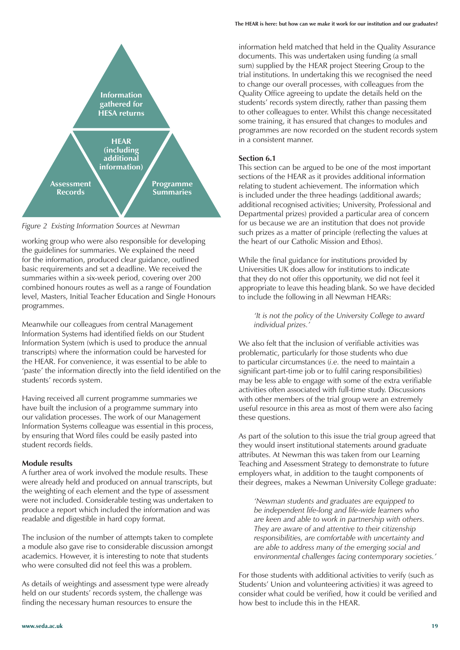

*Figure 2 Existing Information Sources at Newman*

working group who were also responsible for developing the guidelines for summaries. We explained the need for the information, produced clear guidance, outlined basic requirements and set a deadline. We received the summaries within a six-week period, covering over 200 combined honours routes as well as a range of Foundation level, Masters, Initial Teacher Education and Single Honours programmes.

Meanwhile our colleagues from central Management Information Systems had identified fields on our Student Information System (which is used to produce the annual transcripts) where the information could be harvested for the HEAR. For convenience, it was essential to be able to 'paste' the information directly into the field identified on the students' records system.

Having received all current programme summaries we have built the inclusion of a programme summary into our validation processes. The work of our Management Information Systems colleague was essential in this process, by ensuring that Word files could be easily pasted into student records fields.

#### **Module results**

A further area of work involved the module results. These were already held and produced on annual transcripts, but the weighting of each element and the type of assessment were not included. Considerable testing was undertaken to produce a report which included the information and was readable and digestible in hard copy format.

The inclusion of the number of attempts taken to complete a module also gave rise to considerable discussion amongst academics. However, it is interesting to note that students who were consulted did not feel this was a problem.

As details of weightings and assessment type were already held on our students' records system, the challenge was finding the necessary human resources to ensure the

information held matched that held in the Quality Assurance documents. This was undertaken using funding (a small sum) supplied by the HEAR project Steering Group to the trial institutions. In undertaking this we recognised the need to change our overall processes, with colleagues from the Quality Office agreeing to update the details held on the students' records system directly, rather than passing them to other colleagues to enter. Whilst this change necessitated some training, it has ensured that changes to modules and programmes are now recorded on the student records system in a consistent manner.

#### **Section 6.1**

This section can be argued to be one of the most important sections of the HEAR as it provides additional information relating to student achievement. The information which is included under the three headings (additional awards; additional recognised activities; University, Professional and Departmental prizes) provided a particular area of concern for us because we are an institution that does not provide such prizes as a matter of principle (reflecting the values at the heart of our Catholic Mission and Ethos).

While the final guidance for institutions provided by Universities UK does allow for institutions to indicate that they do not offer this opportunity, we did not feel it appropriate to leave this heading blank. So we have decided to include the following in all Newman HEARs:

*'It is not the policy of the University College to award individual prizes.'*

We also felt that the inclusion of verifiable activities was problematic, particularly for those students who due to particular circumstances (*i.e.* the need to maintain a significant part-time job or to fulfil caring responsibilities) may be less able to engage with some of the extra verifiable activities often associated with full-time study. Discussions with other members of the trial group were an extremely useful resource in this area as most of them were also facing these questions.

As part of the solution to this issue the trial group agreed that they would insert institutional statements around graduate attributes. At Newman this was taken from our Learning Teaching and Assessment Strategy to demonstrate to future employers what, in addition to the taught components of their degrees, makes a Newman University College graduate:

*'Newman students and graduates are equipped to be independent life-long and life-wide learners who are keen and able to work in partnership with others. They are aware of and attentive to their citizenship responsibilities, are comfortable with uncertainty and are able to address many of the emerging social and environmental challenges facing contemporary societies.'*

For those students with additional activities to verify (such as Students' Union and volunteering activities) it was agreed to consider what could be verified, how it could be verified and how best to include this in the HEAR.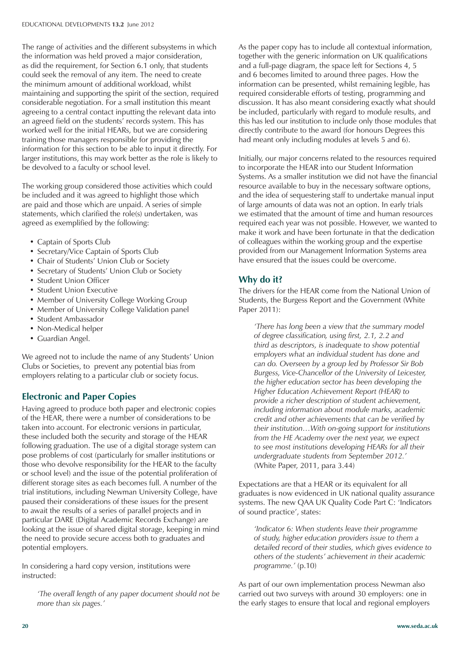The range of activities and the different subsystems in which the information was held proved a major consideration, as did the requirement, for Section 6.1 only, that students could seek the removal of any item. The need to create the minimum amount of additional workload, whilst maintaining and supporting the spirit of the section, required considerable negotiation. For a small institution this meant agreeing to a central contact inputting the relevant data into an agreed field on the students' records system. This has worked well for the initial HEARs, but we are considering training those managers responsible for providing the information for this section to be able to input it directly. For larger institutions, this may work better as the role is likely to be devolved to a faculty or school level.

The working group considered those activities which could be included and it was agreed to highlight those which are paid and those which are unpaid. A series of simple statements, which clarified the role(s) undertaken, was agreed as exemplified by the following:

- Captain of Sports Club
- Secretary/Vice Captain of Sports Club
- Chair of Students' Union Club or Society
- Secretary of Students' Union Club or Society
- Student Union Officer
- Student Union Executive
- Member of University College Working Group
- Member of University College Validation panel
- Student Ambassador
- Non-Medical helper
- Guardian Angel.

We agreed not to include the name of any Students' Union Clubs or Societies, to prevent any potential bias from employers relating to a particular club or society focus.

## **Electronic and Paper Copies**

Having agreed to produce both paper and electronic copies of the HEAR, there were a number of considerations to be taken into account. For electronic versions in particular, these included both the security and storage of the HEAR following graduation. The use of a digital storage system can pose problems of cost (particularly for smaller institutions or those who devolve responsibility for the HEAR to the faculty or school level) and the issue of the potential proliferation of different storage sites as each becomes full. A number of the trial institutions, including Newman University College, have paused their considerations of these issues for the present to await the results of a series of parallel projects and in particular DARE (Digital Academic Records Exchange) are looking at the issue of shared digital storage, keeping in mind the need to provide secure access both to graduates and potential employers.

In considering a hard copy version, institutions were instructed:

*'The overall length of any paper document should not be more than six pages.'*

As the paper copy has to include all contextual information, together with the generic information on UK qualifications and a full-page diagram, the space left for Sections 4, 5 and 6 becomes limited to around three pages. How the information can be presented, whilst remaining legible, has required considerable efforts of testing, programming and discussion. It has also meant considering exactly what should be included, particularly with regard to module results, and this has led our institution to include only those modules that directly contribute to the award (for honours Degrees this had meant only including modules at levels 5 and 6).

Initially, our major concerns related to the resources required to incorporate the HEAR into our Student Information Systems. As a smaller institution we did not have the financial resource available to buy in the necessary software options, and the idea of sequestering staff to undertake manual input of large amounts of data was not an option. In early trials we estimated that the amount of time and human resources required each year was not possible. However, we wanted to make it work and have been fortunate in that the dedication of colleagues within the working group and the expertise provided from our Management Information Systems area have ensured that the issues could be overcome.

### **Why do it?**

The drivers for the HEAR come from the National Union of Students, the Burgess Report and the Government (White Paper 2011):

*'There has long been a view that the summary model of degree classification, using first, 2.1, 2.2 and third as descriptors, is inadequate to show potential employers what an individual student has done and can do. Overseen by a group led by Professor Sir Bob Burgess, Vice-Chancellor of the University of Leicester, the higher education sector has been developing the Higher Education Achievement Report (HEAR) to provide a richer description of student achievement, including information about module marks, academic credit and other achievements that can be verified by their institution…With on-going support for institutions from the HE Academy over the next year, we expect to see most institutions developing HEARs for all their undergraduate students from September 2012.'* (White Paper, 2011, para 3.44)

Expectations are that a HEAR or its equivalent for all graduates is now evidenced in UK national quality assurance systems. The new QAA UK Quality Code Part C: 'Indicators of sound practice', states:

*'Indicator 6: When students leave their programme of study, higher education providers issue to them a detailed record of their studies, which gives evidence to others of the students' achievement in their academic programme.'* (p.10)

As part of our own implementation process Newman also carried out two surveys with around 30 employers: one in the early stages to ensure that local and regional employers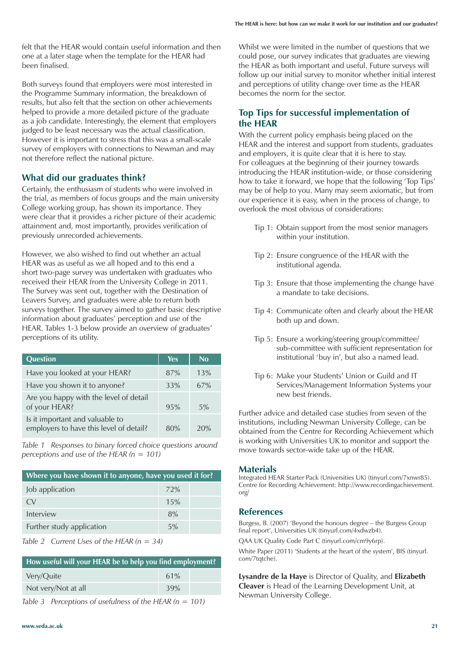felt that the HEAR would contain useful information and then one at a later stage when the template for the HEAR had been finalised.

Both surveys found that employers were most interested in the Programme Summary information, the breakdown of results, but also felt that the section on other achievements helped to provide a more detailed picture of the graduate as a job candidate. Interestingly, the element that employers judged to be least necessary was the actual classification. However it is important to stress that this was a small-scale survey of employers with connections to Newman and may not therefore reflect the national picture.

### **What did our graduates think?**

Certainly, the enthusiasm of students who were involved in the trial, as members of focus groups and the main university College working group, has shown its importance. They were clear that it provides a richer picture of their academic attainment and, most importantly, provides verification of previously unrecorded achievements.

However, we also wished to find out whether an actual HEAR was as useful as we all hoped and to this end a short two-page survey was undertaken with graduates who received their HEAR from the University College in 2011. The Survey was sent out, together with the Destination of Leavers Survey, and graduates were able to return both surveys together. The survey aimed to gather basic descriptive information about graduates' perception and use of the HEAR. Tables 1-3 below provide an overview of graduates' perceptions of its utility.

| Question                                                                   | <b>Yes</b> | No  |
|----------------------------------------------------------------------------|------------|-----|
| Have you looked at your HEAR?                                              | 87%        | 13% |
| Have you shown it to anyone?                                               | 33%        | 67% |
| Are you happy with the level of detail<br>of your HEAR?                    | 95%        | 5%  |
| Is it important and valuable to<br>employers to have this level of detail? | 80%        | 20% |

*Table 1 Responses to binary forced choice questions around perceptions and use of the HEAR (n = 101)*

| Where you have shown it to anyone, have you used it for? |     |  |
|----------------------------------------------------------|-----|--|
| Job application                                          | 72% |  |
| $\alpha$                                                 | 15% |  |
| Interview                                                | 8%  |  |
| Further study application                                | 5%  |  |



| How useful will your HEAR be to help you find employment? |     |  |  |
|-----------------------------------------------------------|-----|--|--|
| Very/Quite                                                | 61% |  |  |
| Not very/Not at all                                       | 39% |  |  |

*Table 3 Perceptions of usefulness of the HEAR (n = 101)* 

Whilst we were limited in the number of questions that we could pose, our survey indicates that graduates are viewing the HEAR as both important and useful. Future surveys will follow up our initial survey to monitor whether initial interest and perceptions of utility change over time as the HEAR becomes the norm for the sector.

### **Top Tips for successful implementation of the HEAR**

With the current policy emphasis being placed on the HEAR and the interest and support from students, graduates and employers, it is quite clear that it is here to stay. For colleagues at the beginning of their journey towards introducing the HEAR institution-wide, or those considering how to take it forward, we hope that the following 'Top Tips' may be of help to you. Many may seem axiomatic, but from our experience it is easy, when in the process of change, to overlook the most obvious of considerations:

- Tip 1: Obtain support from the most senior managers within your institution.
- Tip 2: Ensure congruence of the HEAR with the institutional agenda.
- Tip 3: Ensure that those implementing the change have a mandate to take decisions.
- Tip 4: Communicate often and clearly about the HEAR both up and down.
- Tip 5: Ensure a working/steering group/committee/ sub-committee with sufficient representation for institutional 'buy in', but also a named lead.
- Tip 6: Make your Students' Union or Guild and IT Services/Management Information Systems your new best friends.

Further advice and detailed case studies from seven of the institutions, including Newman University College, can be obtained from the Centre for Recording Achievement which is working with Universities UK to monitor and support the move towards sector-wide take up of the HEAR.

#### **Materials**

Integrated HEAR Starter Pack (Universities UK) (tinyurl.com/7xnwr85). Centre for Recording Achievement: http://www.recordingachievement. org/

#### **References**

Burgess, B. (2007) 'Beyond the honours degree – the Burgess Group final report', Universities UK (tinyurl.com/4xdwzb4).

QAA UK Quality Code Part C (tinyurl.com/cm9y6rp).

White Paper (2011) 'Students at the heart of the system', BIS (tinyurl. com/7tqtche).

**Lysandre de la Haye** is Director of Quality, and **Elizabeth Cleaver** is Head of the Learning Development Unit, at Newman University College.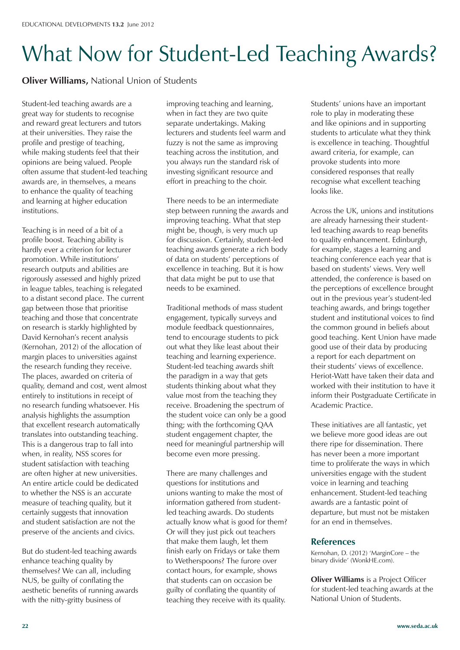# What Now for Student-Led Teaching Awards?

**Oliver Williams,** National Union of Students

Student-led teaching awards are a great way for students to recognise and reward great lecturers and tutors at their universities. They raise the profile and prestige of teaching, while making students feel that their opinions are being valued. People often assume that student-led teaching awards are, in themselves, a means to enhance the quality of teaching and learning at higher education institutions.

Teaching is in need of a bit of a profile boost. Teaching ability is hardly ever a criterion for lecturer promotion. While institutions' research outputs and abilities are rigorously assessed and highly prized in league tables, teaching is relegated to a distant second place. The current gap between those that prioritise teaching and those that concentrate on research is starkly highlighted by David Kernohan's recent analysis (Kernohan, 2012) of the allocation of margin places to universities against the research funding they receive. The places, awarded on criteria of quality, demand and cost, went almost entirely to institutions in receipt of no research funding whatsoever. His analysis highlights the assumption that excellent research automatically translates into outstanding teaching. This is a dangerous trap to fall into when, in reality, NSS scores for student satisfaction with teaching are often higher at new universities. An entire article could be dedicated to whether the NSS is an accurate measure of teaching quality, but it certainly suggests that innovation and student satisfaction are not the preserve of the ancients and civics.

But do student-led teaching awards enhance teaching quality by themselves? We can all, including NUS, be guilty of conflating the aesthetic benefits of running awards with the nitty-gritty business of

improving teaching and learning, when in fact they are two quite separate undertakings. Making lecturers and students feel warm and fuzzy is not the same as improving teaching across the institution, and you always run the standard risk of investing significant resource and effort in preaching to the choir.

There needs to be an intermediate step between running the awards and improving teaching. What that step might be, though, is very much up for discussion. Certainly, student-led teaching awards generate a rich body of data on students' perceptions of excellence in teaching. But it is how that data might be put to use that needs to be examined.

Traditional methods of mass student engagement, typically surveys and module feedback questionnaires, tend to encourage students to pick out what they like least about their teaching and learning experience. Student-led teaching awards shift the paradigm in a way that gets students thinking about what they value most from the teaching they receive. Broadening the spectrum of the student voice can only be a good thing; with the forthcoming QAA student engagement chapter, the need for meaningful partnership will become even more pressing.

There are many challenges and questions for institutions and unions wanting to make the most of information gathered from studentled teaching awards. Do students actually know what is good for them? Or will they just pick out teachers that make them laugh, let them finish early on Fridays or take them to Wetherspoons? The furore over contact hours, for example, shows that students can on occasion be guilty of conflating the quantity of teaching they receive with its quality.

Students' unions have an important role to play in moderating these and like opinions and in supporting students to articulate what they think is excellence in teaching. Thoughtful award criteria, for example, can provoke students into more considered responses that really recognise what excellent teaching looks like.

Across the UK, unions and institutions are already harnessing their studentled teaching awards to reap benefits to quality enhancement. Edinburgh, for example, stages a learning and teaching conference each year that is based on students' views. Very well attended, the conference is based on the perceptions of excellence brought out in the previous year's student-led teaching awards, and brings together student and institutional voices to find the common ground in beliefs about good teaching. Kent Union have made good use of their data by producing a report for each department on their students' views of excellence. Heriot-Watt have taken their data and worked with their institution to have it inform their Postgraduate Certificate in Academic Practice.

These initiatives are all fantastic, yet we believe more good ideas are out there ripe for dissemination. There has never been a more important time to proliferate the ways in which universities engage with the student voice in learning and teaching enhancement. Student-led teaching awards are a fantastic point of departure, but must not be mistaken for an end in themselves.

#### **References**

Kernohan, D. (2012) 'MarginCore – the binary divide' (WonkHE.com).

**Oliver Williams** is a Project Officer for student-led teaching awards at the National Union of Students.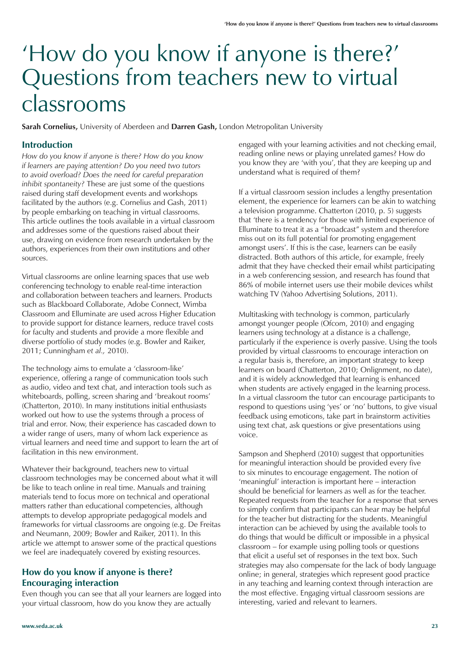## 'How do you know if anyone is there?' Questions from teachers new to virtual classrooms

**Sarah Cornelius,** University of Aberdeen and **Darren Gash,** London Metropolitan University

### **Introduction**

*How do you know if anyone is there? How do you know if learners are paying attention? Do you need two tutors to avoid overload? Does the need for careful preparation inhibit spontaneity?* These are just some of the questions raised during staff development events and workshops facilitated by the authors (e.g. Cornelius and Gash, 2011) by people embarking on teaching in virtual classrooms. This article outlines the tools available in a virtual classroom and addresses some of the questions raised about their use, drawing on evidence from research undertaken by the authors, experiences from their own institutions and other sources.

Virtual classrooms are online learning spaces that use web conferencing technology to enable real-time interaction and collaboration between teachers and learners. Products such as Blackboard Collaborate, Adobe Connect, Wimba Classroom and Elluminate are used across Higher Education to provide support for distance learners, reduce travel costs for faculty and students and provide a more flexible and diverse portfolio of study modes (e.g. Bowler and Raiker, 2011; Cunningham *et al.,* 2010).

The technology aims to emulate a 'classroom-like' experience, offering a range of communication tools such as audio, video and text chat, and interaction tools such as whiteboards, polling, screen sharing and 'breakout rooms' (Chatterton, 2010). In many institutions initial enthusiasts worked out how to use the systems through a process of trial and error. Now, their experience has cascaded down to a wider range of users, many of whom lack experience as virtual learners and need time and support to learn the art of facilitation in this new environment.

Whatever their background, teachers new to virtual classroom technologies may be concerned about what it will be like to teach online in real time. Manuals and training materials tend to focus more on technical and operational matters rather than educational competencies, although attempts to develop appropriate pedagogical models and frameworks for virtual classrooms are ongoing (e.g. De Freitas and Neumann, 2009; Bowler and Raiker, 2011). In this article we attempt to answer some of the practical questions we feel are inadequately covered by existing resources.

### **How do you know if anyone is there? Encouraging interaction**

Even though you can see that all your learners are logged into your virtual classroom, how do you know they are actually

engaged with your learning activities and not checking email, reading online news or playing unrelated games? How do you know they are 'with you', that they are keeping up and understand what is required of them?

If a virtual classroom session includes a lengthy presentation element, the experience for learners can be akin to watching a television programme. Chatterton (2010, p. 5) suggests that 'there is a tendency for those with limited experience of Elluminate to treat it as a "broadcast" system and therefore miss out on its full potential for promoting engagement amongst users'. If this is the case, learners can be easily distracted. Both authors of this article, for example, freely admit that they have checked their email whilst participating in a web conferencing session, and research has found that 86% of mobile internet users use their mobile devices whilst watching TV (Yahoo Advertising Solutions, 2011).

Multitasking with technology is common, particularly amongst younger people (Ofcom, 2010) and engaging learners using technology at a distance is a challenge, particularly if the experience is overly passive. Using the tools provided by virtual classrooms to encourage interaction on a regular basis is, therefore, an important strategy to keep learners on board (Chatterton, 2010; Onlignment, no date), and it is widely acknowledged that learning is enhanced when students are actively engaged in the learning process. In a virtual classroom the tutor can encourage participants to respond to questions using 'yes' or 'no' buttons, to give visual feedback using emoticons, take part in brainstorm activities using text chat, ask questions or give presentations using voice.

Sampson and Shepherd (2010) suggest that opportunities for meaningful interaction should be provided every five to six minutes to encourage engagement. The notion of 'meaningful' interaction is important here – interaction should be beneficial for learners as well as for the teacher. Repeated requests from the teacher for a response that serves to simply confirm that participants can hear may be helpful for the teacher but distracting for the students. Meaningful interaction can be achieved by using the available tools to do things that would be difficult or impossible in a physical classroom – for example using polling tools or questions that elicit a useful set of responses in the text box. Such strategies may also compensate for the lack of body language online; in general, strategies which represent good practice in any teaching and learning context through interaction are the most effective. Engaging virtual classroom sessions are interesting, varied and relevant to learners.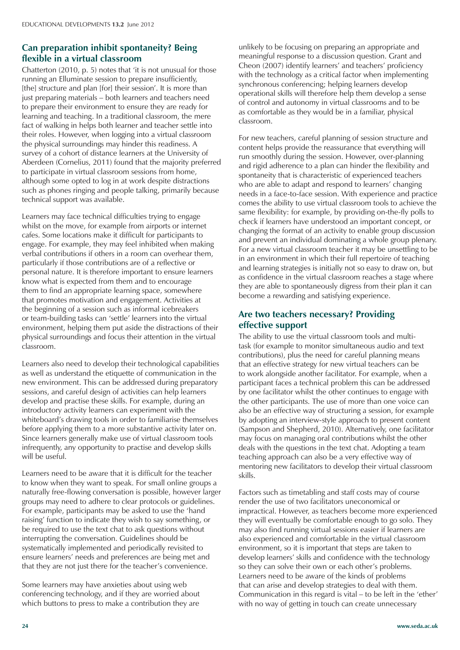## **Can preparation inhibit spontaneity? Being flexible in a virtual classroom**

Chatterton (2010, p. 5) notes that 'it is not unusual for those running an Elluminate session to prepare insufficiently, [the] structure and plan [for] their session'. It is more than just preparing materials – both learners and teachers need to prepare their environment to ensure they are ready for learning and teaching. In a traditional classroom, the mere fact of walking in helps both learner and teacher settle into their roles. However, when logging into a virtual classroom the physical surroundings may hinder this readiness. A survey of a cohort of distance learners at the University of Aberdeen (Cornelius, 2011) found that the majority preferred to participate in virtual classroom sessions from home, although some opted to log in at work despite distractions such as phones ringing and people talking, primarily because technical support was available.

Learners may face technical difficulties trying to engage whilst on the move, for example from airports or internet cafes. Some locations make it difficult for participants to engage. For example, they may feel inhibited when making verbal contributions if others in a room can overhear them, particularly if those contributions are of a reflective or personal nature. It is therefore important to ensure learners know what is expected from them and to encourage them to find an appropriate learning space, somewhere that promotes motivation and engagement. Activities at the beginning of a session such as informal icebreakers or team-building tasks can 'settle' learners into the virtual environment, helping them put aside the distractions of their physical surroundings and focus their attention in the virtual classroom.

Learners also need to develop their technological capabilities as well as understand the etiquette of communication in the new environment. This can be addressed during preparatory sessions, and careful design of activities can help learners develop and practise these skills. For example, during an introductory activity learners can experiment with the whiteboard's drawing tools in order to familiarise themselves before applying them to a more substantive activity later on. Since learners generally make use of virtual classroom tools infrequently, any opportunity to practise and develop skills will be useful.

Learners need to be aware that it is difficult for the teacher to know when they want to speak. For small online groups a naturally free-flowing conversation is possible, however larger groups may need to adhere to clear protocols or guidelines. For example, participants may be asked to use the 'hand raising' function to indicate they wish to say something, or be required to use the text chat to ask questions without interrupting the conversation. Guidelines should be systematically implemented and periodically revisited to ensure learners' needs and preferences are being met and that they are not just there for the teacher's convenience.

Some learners may have anxieties about using web conferencing technology, and if they are worried about which buttons to press to make a contribution they are

unlikely to be focusing on preparing an appropriate and meaningful response to a discussion question. Grant and Cheon (2007) identify learners' and teachers' proficiency with the technology as a critical factor when implementing synchronous conferencing; helping learners develop operational skills will therefore help them develop a sense of control and autonomy in virtual classrooms and to be as comfortable as they would be in a familiar, physical classroom.

For new teachers, careful planning of session structure and content helps provide the reassurance that everything will run smoothly during the session. However, over-planning and rigid adherence to a plan can hinder the flexibility and spontaneity that is characteristic of experienced teachers who are able to adapt and respond to learners' changing needs in a face-to-face session. With experience and practice comes the ability to use virtual classroom tools to achieve the same flexibility: for example, by providing on-the-fly polls to check if learners have understood an important concept, or changing the format of an activity to enable group discussion and prevent an individual dominating a whole group plenary. For a new virtual classroom teacher it may be unsettling to be in an environment in which their full repertoire of teaching and learning strategies is initially not so easy to draw on, but as confidence in the virtual classroom reaches a stage where they are able to spontaneously digress from their plan it can become a rewarding and satisfying experience.

## **Are two teachers necessary? Providing effective support**

The ability to use the virtual classroom tools and multitask (for example to monitor simultaneous audio and text contributions), plus the need for careful planning means that an effective strategy for new virtual teachers can be to work alongside another facilitator. For example, when a participant faces a technical problem this can be addressed by one facilitator whilst the other continues to engage with the other participants. The use of more than one voice can also be an effective way of structuring a session, for example by adopting an interview-style approach to present content (Sampson and Shepherd, 2010). Alternatively, one facilitator may focus on managing oral contributions whilst the other deals with the questions in the text chat. Adopting a team teaching approach can also be a very effective way of mentoring new facilitators to develop their virtual classroom skills.

Factors such as timetabling and staff costs may of course render the use of two facilitators uneconomical or impractical. However, as teachers become more experienced they will eventually be comfortable enough to go solo. They may also find running virtual sessions easier if learners are also experienced and comfortable in the virtual classroom environment, so it is important that steps are taken to develop learners' skills and confidence with the technology so they can solve their own or each other's problems. Learners need to be aware of the kinds of problems that can arise and develop strategies to deal with them. Communication in this regard is vital – to be left in the 'ether' with no way of getting in touch can create unnecessary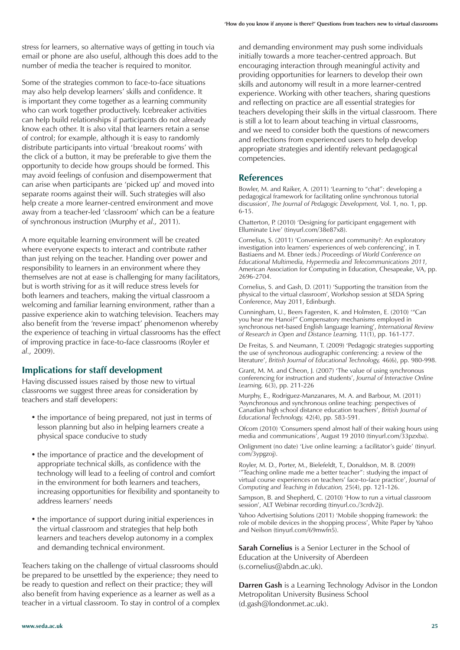stress for learners, so alternative ways of getting in touch via email or phone are also useful, although this does add to the number of media the teacher is required to monitor.

Some of the strategies common to face-to-face situations may also help develop learners' skills and confidence. It is important they come together as a learning community who can work together productively. Icebreaker activities can help build relationships if participants do not already know each other. It is also vital that learners retain a sense of control; for example, although it is easy to randomly distribute participants into virtual 'breakout rooms' with the click of a button, it may be preferable to give them the opportunity to decide how groups should be formed. This may avoid feelings of confusion and disempowerment that can arise when participants are 'picked up' and moved into separate rooms against their will. Such strategies will also help create a more learner-centred environment and move away from a teacher-led 'classroom' which can be a feature of synchronous instruction (Murphy *et al.,* 2011).

A more equitable learning environment will be created where everyone expects to interact and contribute rather than just relying on the teacher. Handing over power and responsibility to learners in an environment where they themselves are not at ease is challenging for many facilitators, but is worth striving for as it will reduce stress levels for both learners and teachers, making the virtual classroom a welcoming and familiar learning environment, rather than a passive experience akin to watching television. Teachers may also benefit from the 'reverse impact' phenomenon whereby the experience of teaching in virtual classrooms has the effect of improving practice in face-to-face classrooms (Royler *et al.,* 2009).

#### **Implications for staff development**

Having discussed issues raised by those new to virtual classrooms we suggest three areas for consideration by teachers and staff developers:

- the importance of being prepared, not just in terms of lesson planning but also in helping learners create a physical space conducive to study
- the importance of practice and the development of appropriate technical skills, as confidence with the technology will lead to a feeling of control and comfort in the environment for both learners and teachers, increasing opportunities for flexibility and spontaneity to address learners' needs
- the importance of support during initial experiences in the virtual classroom and strategies that help both learners and teachers develop autonomy in a complex and demanding technical environment.

Teachers taking on the challenge of virtual classrooms should be prepared to be unsettled by the experience; they need to be ready to question and reflect on their practice; they will also benefit from having experience as a learner as well as a teacher in a virtual classroom. To stay in control of a complex

and demanding environment may push some individuals initially towards a more teacher-centred approach. But encouraging interaction through meaningful activity and providing opportunities for learners to develop their own skills and autonomy will result in a more learner-centred experience. Working with other teachers, sharing questions and reflecting on practice are all essential strategies for teachers developing their skills in the virtual classroom. There is still a lot to learn about teaching in virtual classrooms, and we need to consider both the questions of newcomers and reflections from experienced users to help develop appropriate strategies and identify relevant pedagogical competencies.

#### **References**

Bowler, M. and Raiker, A. (2011) 'Learning to "chat": developing a pedagogical framework for facilitating online synchronous tutorial discussion', *The Journal of Pedagogic Development,* Vol. 1, no. 1, pp. 6-15.

Chatterton, P. (2010) 'Designing for participant engagement with Elluminate Live' (tinyurl.com/38e87x8).

Cornelius, S. (2011) 'Convenience and community?: An exploratory investigation into learners' experiences of web conferencing', in T. Bastiaens and M. Ebner (eds.) *Proceedings of World Conference on Educational Multimedia, Hypermedia and Telecommunications 2011,* American Association for Computing in Education, Chesapeake, VA, pp. 2696-2704.

Cornelius, S. and Gash, D. (2011) 'Supporting the transition from the physical to the virtual classroom', Workshop session at SEDA Spring Conference, May 2011, Edinburgh.

Cunningham, U., Beers Fagersten, K. and Holmsten, E. (2010) '"Can you hear me Hanoi?" Compensatory mechanisms employed in synchronous net-based English language learning', *International Review of Research in Open and Distance Learning,* 11(1), pp. 161-177.

De Freitas, S. and Neumann, T. (2009) 'Pedagogic strategies supporting the use of synchronous audiographic conferencing: a review of the literature', *British Journal of Educational Technology,* 46(6), pp. 980-998.

Grant, M. M. and Cheon, J. (2007) 'The value of using synchronous conferencing for instruction and students', *Journal of Interactive Online Learning,* 6(3), pp. 211-226

Murphy, E., Rodriguez-Manzanares, M. A. and Barbour, M. (2011) 'Asynchronous and synchronous online teaching: perspectives of Canadian high school distance education teachers', *British Journal of Educational Technology,* 42(4), pp. 583-591.

Ofcom (2010) 'Consumers spend almost half of their waking hours using media and communications', August 19 2010 (tinyurl.com/33pzxba).

Onlignment (no date) 'Live online learning: a facilitator's guide' (tinyurl. com/3ypgzoj).

Royler, M. D., Porter, M., Bielefeldt, T., Donaldson, M. B. (2009) '"Teaching online made me a better teacher": studying the impact of virtual course experiences on teachers' face-to-face practice', *Journal of Computing and Teaching in Education,* 25(4), pp. 121-126.

Sampson, B. and Shepherd, C. (2010) 'How to run a virtual classroom session', ALT Webinar recording (tinyurl.co./3crdv2j).

Yahoo Advertising Solutions (2011) 'Mobile shopping framework: the role of mobile devices in the shopping process', White Paper by Yahoo and Neilson (tinyurl.com/69mwfn5).

**Sarah Cornelius** is a Senior Lecturer in the School of Education at the University of Aberdeen (s.cornelius@abdn.ac.uk).

**Darren Gash** is a Learning Technology Advisor in the London Metropolitan University Business School (d.gash@londonmet.ac.uk).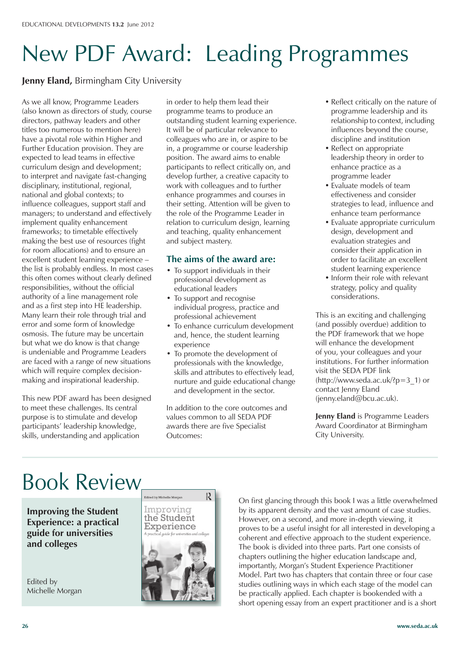# New PDF Award: Leading Programmes

**Jenny Eland,** Birmingham City University

As we all know, Programme Leaders (also known as directors of study, course directors, pathway leaders and other titles too numerous to mention here) have a pivotal role within Higher and Further Education provision. They are expected to lead teams in effective curriculum design and development; to interpret and navigate fast-changing disciplinary, institutional, regional, national and global contexts; to influence colleagues, support staff and managers; to understand and effectively implement quality enhancement frameworks; to timetable effectively making the best use of resources (fight for room allocations) and to ensure an excellent student learning experience – the list is probably endless. In most cases this often comes without clearly defined responsibilities, without the official authority of a line management role and as a first step into HE leadership. Many learn their role through trial and error and some form of knowledge osmosis. The future may be uncertain but what we do know is that change is undeniable and Programme Leaders are faced with a range of new situations which will require complex decisionmaking and inspirational leadership.

This new PDF award has been designed to meet these challenges. Its central purpose is to stimulate and develop participants' leadership knowledge, skills, understanding and application

in order to help them lead their programme teams to produce an outstanding student learning experience. It will be of particular relevance to colleagues who are in, or aspire to be in, a programme or course leadership position. The award aims to enable participants to reflect critically on, and develop further, a creative capacity to work with colleagues and to further enhance programmes and courses in their setting. Attention will be given to the role of the Programme Leader in relation to curriculum design, learning and teaching, quality enhancement and subject mastery.

## **The aims of the award are:**

- To support individuals in their professional development as educational leaders
- To support and recognise individual progress, practice and professional achievement
- To enhance curriculum development and, hence, the student learning experience
- To promote the development of professionals with the knowledge, skills and attributes to effectively lead, nurture and guide educational change and development in the sector.

In addition to the core outcomes and values common to all SEDA PDF awards there are five Specialist Outcomes:

- Reflect critically on the nature of programme leadership and its relationship to context, including influences beyond the course, discipline and institution
- Reflect on appropriate leadership theory in order to enhance practice as a programme leader
- Evaluate models of team effectiveness and consider strategies to lead, influence and enhance team performance
- Evaluate appropriate curriculum design, development and evaluation strategies and consider their application in order to facilitate an excellent student learning experience
- Inform their role with relevant strategy, policy and quality considerations.

This is an exciting and challenging (and possibly overdue) addition to the PDF framework that we hope will enhance the development of you, your colleagues and your institutions. For further information visit the SEDA PDF link  $(http://www.seda.ac.uk!/p=3$  1) or contact Jenny Eland (jenny.eland@bcu.ac.uk).

**Jenny Eland** is Programme Leaders Award Coordinator at Birmingham City University.

## Book Review

**Improving the Student Experience: a practical guide for universities and colleges**

Edited by Michelle Morgan



On first glancing through this book I was a little overwhelmed by its apparent density and the vast amount of case studies. However, on a second, and more in-depth viewing, it proves to be a useful insight for all interested in developing a coherent and effective approach to the student experience. The book is divided into three parts. Part one consists of chapters outlining the higher education landscape and, importantly, Morgan's Student Experience Practitioner Model. Part two has chapters that contain three or four case studies outlining ways in which each stage of the model can be practically applied. Each chapter is bookended with a short opening essay from an expert practitioner and is a short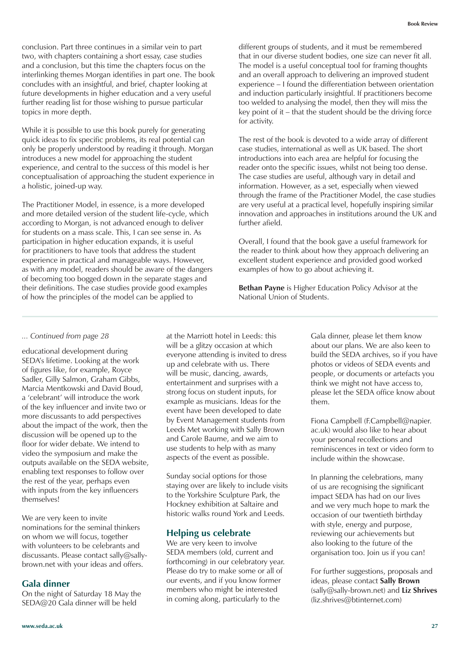conclusion. Part three continues in a similar vein to part two, with chapters containing a short essay, case studies and a conclusion, but this time the chapters focus on the interlinking themes Morgan identifies in part one. The book concludes with an insightful, and brief, chapter looking at future developments in higher education and a very useful further reading list for those wishing to pursue particular topics in more depth.

While it is possible to use this book purely for generating quick ideas to fix specific problems, its real potential can only be properly understood by reading it through. Morgan introduces a new model for approaching the student experience, and central to the success of this model is her conceptualisation of approaching the student experience in a holistic, joined-up way.

The Practitioner Model, in essence, is a more developed and more detailed version of the student life-cycle, which according to Morgan, is not advanced enough to deliver for students on a mass scale. This, I can see sense in. As participation in higher education expands, it is useful for practitioners to have tools that address the student experience in practical and manageable ways. However, as with any model, readers should be aware of the dangers of becoming too bogged down in the separate stages and their definitions. The case studies provide good examples of how the principles of the model can be applied to

different groups of students, and it must be remembered that in our diverse student bodies, one size can never fit all. The model is a useful conceptual tool for framing thoughts and an overall approach to delivering an improved student experience – I found the differentiation between orientation and induction particularly insightful. If practitioners become too welded to analysing the model, then they will miss the key point of it – that the student should be the driving force for activity.

The rest of the book is devoted to a wide array of different case studies, international as well as UK based. The short introductions into each area are helpful for focusing the reader onto the specific issues, whilst not being too dense. The case studies are useful, although vary in detail and information. However, as a set, especially when viewed through the frame of the Practitioner Model, the case studies are very useful at a practical level, hopefully inspiring similar innovation and approaches in institutions around the UK and further afield.

Overall, I found that the book gave a useful framework for the reader to think about how they approach delivering an excellent student experience and provided good worked examples of how to go about achieving it.

**Bethan Payne** is Higher Education Policy Advisor at the National Union of Students.

#### *... Continued from page 28*

educational development during SEDA's lifetime. Looking at the work of figures like, for example, Royce Sadler, Gilly Salmon, Graham Gibbs, Marcia Mentkowski and David Boud, a 'celebrant' will introduce the work of the key influencer and invite two or more discussants to add perspectives about the impact of the work, then the discussion will be opened up to the floor for wider debate. We intend to video the symposium and make the outputs available on the SEDA website, enabling text responses to follow over the rest of the year, perhaps even with inputs from the key influencers themselves!

We are very keen to invite nominations for the seminal thinkers on whom we will focus, together with volunteers to be celebrants and discussants. Please contact sally@sallybrown.net with your ideas and offers.

#### **Gala dinner**

On the night of Saturday 18 May the SEDA@20 Gala dinner will be held

at the Marriott hotel in Leeds: this will be a glitzy occasion at which everyone attending is invited to dress up and celebrate with us. There will be music, dancing, awards, entertainment and surprises with a strong focus on student inputs, for example as musicians. Ideas for the event have been developed to date by Event Management students from Leeds Met working with Sally Brown and Carole Baume, and we aim to use students to help with as many aspects of the event as possible.

Sunday social options for those staying over are likely to include visits to the Yorkshire Sculpture Park, the Hockney exhibition at Saltaire and historic walks round York and Leeds.

#### **Helping us celebrate**

We are very keen to involve SEDA members (old, current and forthcoming) in our celebratory year. Please do try to make some or all of our events, and if you know former members who might be interested in coming along, particularly to the

Gala dinner, please let them know about our plans. We are also keen to build the SEDA archives, so if you have photos or videos of SEDA events and people, or documents or artefacts you think we might not have access to, please let the SEDA office know about them.

Fiona Campbell (F.Campbell@napier. ac.uk) would also like to hear about your personal recollections and reminiscences in text or video form to include within the showcase.

In planning the celebrations, many of us are recognising the significant impact SEDA has had on our lives and we very much hope to mark the occasion of our twentieth birthday with style, energy and purpose, reviewing our achievements but also looking to the future of the organisation too. Join us if you can!

For further suggestions, proposals and ideas, please contact **Sally Brown** (sally@sally-brown.net) and **Liz Shrives** (liz.shrives@btinternet.com)